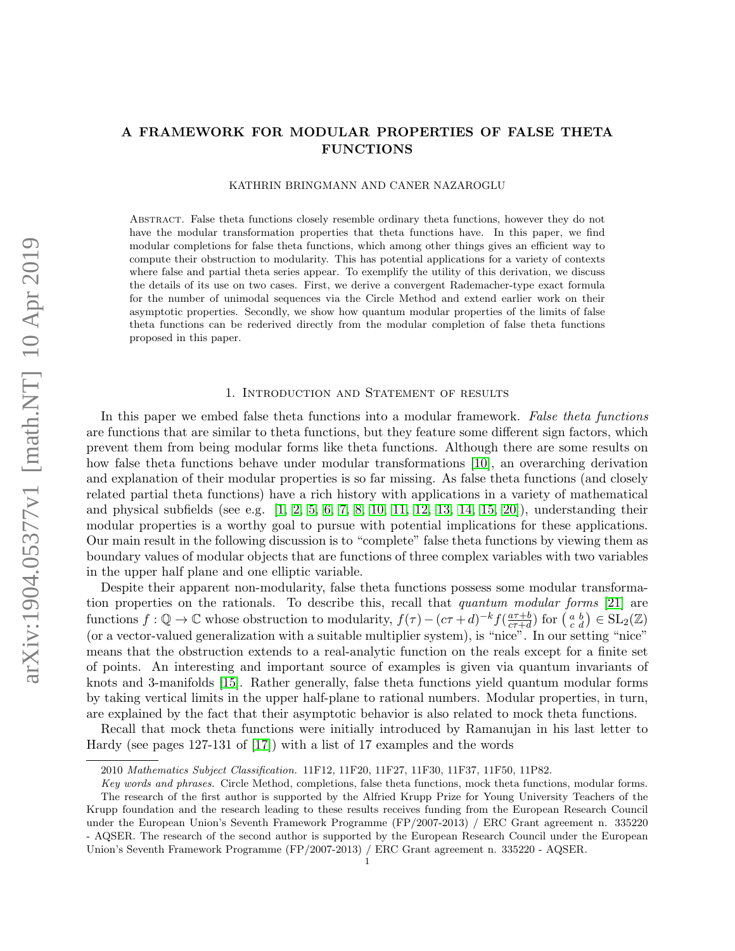## A FRAMEWORK FOR MODULAR PROPERTIES OF FALSE THETA FUNCTIONS

KATHRIN BRINGMANN AND CANER NAZAROGLU

Abstract. False theta functions closely resemble ordinary theta functions, however they do not have the modular transformation properties that theta functions have. In this paper, we find modular completions for false theta functions, which among other things gives an efficient way to compute their obstruction to modularity. This has potential applications for a variety of contexts where false and partial theta series appear. To exemplify the utility of this derivation, we discuss the details of its use on two cases. First, we derive a convergent Rademacher-type exact formula for the number of unimodal sequences via the Circle Method and extend earlier work on their asymptotic properties. Secondly, we show how quantum modular properties of the limits of false theta functions can be rederived directly from the modular completion of false theta functions proposed in this paper.

#### 1. Introduction and Statement of results

In this paper we embed false theta functions into a modular framework. False theta functions are functions that are similar to theta functions, but they feature some different sign factors, which prevent them from being modular forms like theta functions. Although there are some results on how false theta functions behave under modular transformations [\[10\]](#page-19-0), an overarching derivation and explanation of their modular properties is so far missing. As false theta functions (and closely related partial theta functions) have a rich history with applications in a variety of mathematical and physical subfields (see e.g.  $[1, 2, 5, 6, 7, 8, 10, 11, 12, 13, 14, 15, 20]$  $[1, 2, 5, 6, 7, 8, 10, 11, 12, 13, 14, 15, 20]$  $[1, 2, 5, 6, 7, 8, 10, 11, 12, 13, 14, 15, 20]$  $[1, 2, 5, 6, 7, 8, 10, 11, 12, 13, 14, 15, 20]$  $[1, 2, 5, 6, 7, 8, 10, 11, 12, 13, 14, 15, 20]$  $[1, 2, 5, 6, 7, 8, 10, 11, 12, 13, 14, 15, 20]$  $[1, 2, 5, 6, 7, 8, 10, 11, 12, 13, 14, 15, 20]$  $[1, 2, 5, 6, 7, 8, 10, 11, 12, 13, 14, 15, 20]$  $[1, 2, 5, 6, 7, 8, 10, 11, 12, 13, 14, 15, 20]$  $[1, 2, 5, 6, 7, 8, 10, 11, 12, 13, 14, 15, 20]$  $[1, 2, 5, 6, 7, 8, 10, 11, 12, 13, 14, 15, 20]$  $[1, 2, 5, 6, 7, 8, 10, 11, 12, 13, 14, 15, 20]$  $[1, 2, 5, 6, 7, 8, 10, 11, 12, 13, 14, 15, 20]$ ), understanding their modular properties is a worthy goal to pursue with potential implications for these applications. Our main result in the following discussion is to "complete" false theta functions by viewing them as boundary values of modular objects that are functions of three complex variables with two variables in the upper half plane and one elliptic variable.

Despite their apparent non-modularity, false theta functions possess some modular transformation properties on the rationals. To describe this, recall that *quantum modular forms* [\[21\]](#page-19-13) are functions  $f: \mathbb{Q} \to \mathbb{C}$  whose obstruction to modularity,  $f(\tau) - (c\tau + d)^{-k} f(\frac{a\tau + b}{c\tau + d})$  $\frac{a\tau+b}{c\tau+d}$ ) for  $\left(\begin{smallmatrix} a & b \\ c & d \end{smallmatrix}\right) \in \mathrm{SL}_2(\mathbb{Z})$ (or a vector-valued generalization with a suitable multiplier system), is "nice". In our setting "nice" means that the obstruction extends to a real-analytic function on the reals except for a finite set of points. An interesting and important source of examples is given via quantum invariants of knots and 3-manifolds [\[15\]](#page-19-11). Rather generally, false theta functions yield quantum modular forms by taking vertical limits in the upper half-plane to rational numbers. Modular properties, in turn, are explained by the fact that their asymptotic behavior is also related to mock theta functions.

Recall that mock theta functions were initially introduced by Ramanujan in his last letter to Hardy (see pages 127-131 of [\[17\]](#page-19-14)) with a list of 17 examples and the words

<sup>2010</sup> Mathematics Subject Classification. 11F12, 11F20, 11F27, 11F30, 11F37, 11F50, 11P82.

Key words and phrases. Circle Method, completions, false theta functions, mock theta functions, modular forms. The research of the first author is supported by the Alfried Krupp Prize for Young University Teachers of the Krupp foundation and the research leading to these results receives funding from the European Research Council under the European Union's Seventh Framework Programme (FP/2007-2013) / ERC Grant agreement n. 335220 - AQSER. The research of the second author is supported by the European Research Council under the European Union's Seventh Framework Programme (FP/2007-2013) / ERC Grant agreement n. 335220 - AQSER.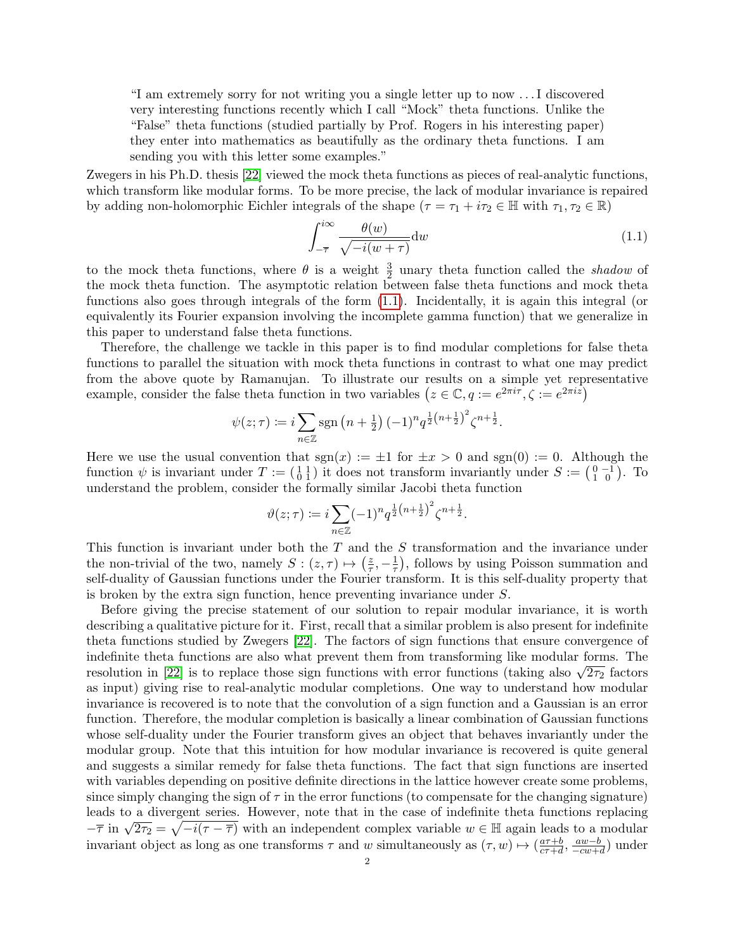"I am extremely sorry for not writing you a single letter up to now . . . I discovered very interesting functions recently which I call "Mock" theta functions. Unlike the "False" theta functions (studied partially by Prof. Rogers in his interesting paper) they enter into mathematics as beautifully as the ordinary theta functions. I am sending you with this letter some examples."

Zwegers in his Ph.D. thesis [\[22\]](#page-19-15) viewed the mock theta functions as pieces of real-analytic functions, which transform like modular forms. To be more precise, the lack of modular invariance is repaired by adding non-holomorphic Eichler integrals of the shape  $(\tau = \tau_1 + i\tau_2 \in \mathbb{H}$  with  $\tau_1, \tau_2 \in \mathbb{R}$ )

<span id="page-1-0"></span>
$$
\int_{-\overline{\tau}}^{i\infty} \frac{\theta(w)}{\sqrt{-i(w+\tau)}} \mathrm{d}w \tag{1.1}
$$

to the mock theta functions, where  $\theta$  is a weight  $\frac{3}{2}$  unary theta function called the *shadow* of the mock theta function. The asymptotic relation between false theta functions and mock theta functions also goes through integrals of the form [\(1.1\)](#page-1-0). Incidentally, it is again this integral (or equivalently its Fourier expansion involving the incomplete gamma function) that we generalize in this paper to understand false theta functions.

Therefore, the challenge we tackle in this paper is to find modular completions for false theta functions to parallel the situation with mock theta functions in contrast to what one may predict from the above quote by Ramanujan. To illustrate our results on a simple yet representative example, consider the false theta function in two variables  $(z \in \mathbb{C}, q := e^{2\pi i \tau}, \zeta := e^{2\pi i z})$ 

$$
\psi(z;\tau) := i \sum_{n \in \mathbb{Z}} \text{sgn}\left(n + \frac{1}{2}\right) (-1)^n q^{\frac{1}{2}\left(n + \frac{1}{2}\right)^2} \zeta^{n + \frac{1}{2}}.
$$

Here we use the usual convention that  $sgn(x) := \pm 1$  for  $\pm x > 0$  and  $sgn(0) := 0$ . Although the function  $\psi$  is invariant under  $T := \begin{pmatrix} 1 & 1 \\ 0 & 1 \end{pmatrix}$  it does not transform invariantly under  $S := \begin{pmatrix} 0 & -1 \\ 1 & 0 \end{pmatrix}$ . To understand the problem, consider the formally similar Jacobi theta function

$$
\vartheta(z;\tau) := i \sum_{n \in \mathbb{Z}} (-1)^n q^{\frac{1}{2}(n+\frac{1}{2})^2} \zeta^{n+\frac{1}{2}}.
$$

This function is invariant under both the  $T$  and the  $S$  transformation and the invariance under the non-trivial of the two, namely  $S: (z, \tau) \mapsto \left(\frac{z}{\tau}\right)$  $\frac{z}{\tau}, -\frac{1}{\tau}$  $(\frac{1}{\tau})$ , follows by using Poisson summation and self-duality of Gaussian functions under the Fourier transform. It is this self-duality property that is broken by the extra sign function, hence preventing invariance under S.

Before giving the precise statement of our solution to repair modular invariance, it is worth describing a qualitative picture for it. First, recall that a similar problem is also present for indefinite theta functions studied by Zwegers [\[22\]](#page-19-15). The factors of sign functions that ensure convergence of indefinite theta functions are also what prevent them from transforming like modular forms. The modular the modular forms. The resolution in [\[22\]](#page-19-15) is to replace those sign functions with error functions (taking also  $\sqrt{2\tau_2}$  factors as input) giving rise to real-analytic modular completions. One way to understand how modular invariance is recovered is to note that the convolution of a sign function and a Gaussian is an error function. Therefore, the modular completion is basically a linear combination of Gaussian functions whose self-duality under the Fourier transform gives an object that behaves invariantly under the modular group. Note that this intuition for how modular invariance is recovered is quite general and suggests a similar remedy for false theta functions. The fact that sign functions are inserted with variables depending on positive definite directions in the lattice however create some problems, since simply changing the sign of  $\tau$  in the error functions (to compensate for the changing signature) leads to a divergent series. However, note that in the case of indefinite theta functions replacing  $-\overline{\tau}$  in  $\sqrt{2\tau_2} = \sqrt{-i(\tau - \overline{\tau})}$  with an independent complex variable w ∈ H again leads to a modular invariant object as long as one transforms  $\tau$  and w simultaneously as  $(\tau, w) \mapsto (\frac{a\tau+b}{c\tau+d})$  $\frac{a\tau+b}{c\tau+d}, \frac{aw-b}{-cw+c}$  $\frac{aw-b}{-cw+d}$ ) under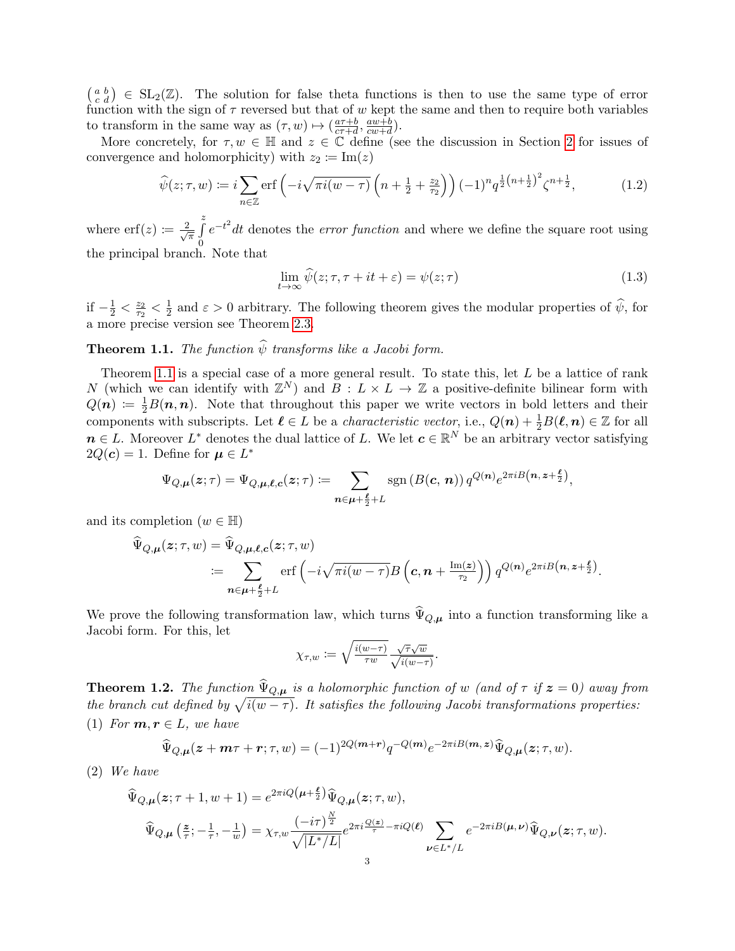$\left(\begin{smallmatrix} a & b \\ c & d \end{smallmatrix}\right) \in SL_2(\mathbb{Z})$ . The solution for false theta functions is then to use the same type of error function with the sign of  $\tau$  reversed but that of w kept the same and then to require both variables to transform in the same way as  $(\tau, w) \mapsto \left(\frac{a\tau+b}{c\tau+d}\right)$  $\frac{a\tau+b}{c\tau+d}, \frac{aw+b}{cw+d}$  $\frac{aw+b}{cw+d}$ ).

More concretely, for  $\tau, w \in \mathbb{H}$  and  $z \in \mathbb{C}$  define (see the discussion in Section [2](#page-4-0) for issues of convergence and holomorphicity) with  $z_2 \coloneqq \text{Im}(z)$ 

<span id="page-2-2"></span>
$$
\widehat{\psi}(z;\tau,w) := i \sum_{n \in \mathbb{Z}} \text{erf}\left(-i\sqrt{\pi i(w-\tau)} \left(n+\frac{1}{2}+\frac{z_2}{\tau_2}\right)\right) (-1)^n q^{\frac{1}{2}\left(n+\frac{1}{2}\right)^2} \zeta^{n+\frac{1}{2}},\tag{1.2}
$$

where  $\text{erf}(z) \coloneqq \frac{2}{\sqrt{2}}$  $\frac{z}{\pi}$ 0  $e^{-t^2}$ dt denotes the *error function* and where we define the square root using the principal branch. Note that

<span id="page-2-3"></span>
$$
\lim_{t \to \infty} \widehat{\psi}(z; \tau, \tau + it + \varepsilon) = \psi(z; \tau)
$$
\n(1.3)

if  $-\frac{1}{2} < \frac{z_2}{\tau_2}$  $\frac{z_2}{\tau_2}<\frac{1}{2}$  $\frac{1}{2}$  and  $\varepsilon > 0$  arbitrary. The following theorem gives the modular properties of  $\psi$ , for a more precise version see Theorem [2.3.](#page-7-0)

# <span id="page-2-0"></span>**Theorem 1.1.** The function  $\hat{\psi}$  transforms like a Jacobi form.

Theorem [1.1](#page-2-0) is a special case of a more general result. To state this, let L be a lattice of rank N (which we can identify with  $\mathbb{Z}^N$ ) and  $\overline{B}: L \times L \to \mathbb{Z}$  a positive-definite bilinear form with  $Q(n) := \frac{1}{2}B(n,n)$ . Note that throughout this paper we write vectors in bold letters and their components with subscripts. Let  $\ell \in L$  be a *characteristic vector*, i.e.,  $Q(n) + \frac{1}{2}B(\ell, n) \in \mathbb{Z}$  for all  $n \in L$ . Moreover  $L^*$  denotes the dual lattice of L. We let  $c \in \mathbb{R}^N$  be an arbitrary vector satisfying  $2Q(c) = 1$ . Define for  $\mu \in L^*$ 

$$
\Psi_{Q,\boldsymbol{\mu}}(\boldsymbol{z};\tau) = \Psi_{Q,\boldsymbol{\mu},\boldsymbol{\ell},\boldsymbol{c}}(\boldsymbol{z};\tau) \coloneqq \sum_{\boldsymbol{n}\in\boldsymbol{\mu}+\frac{\boldsymbol{\ell}}{2}+L} \operatorname{sgn}\left(B(\boldsymbol{c},\,\boldsymbol{n})\right) q^{Q(\boldsymbol{n})} e^{2\pi i B\left(\boldsymbol{n},\,\boldsymbol{z}+\frac{\boldsymbol{\ell}}{2}\right)},
$$

and its completion  $(w \in \mathbb{H})$ 

$$
\Psi_{Q,\mu}(z;\tau,w) = \Psi_{Q,\mu,\ell,c}(z;\tau,w)
$$
  
= 
$$
\sum_{\mathbf{n}\in\mu+\frac{\ell}{2}+L} \text{erf}\left(-i\sqrt{\pi i(w-\tau)}B\left(c,\mathbf{n}+\frac{\text{Im}(z)}{\tau_2}\right)\right)q^{Q(\mathbf{n})}e^{2\pi iB\left(\mathbf{n},z+\frac{\ell}{2}\right)}.
$$

We prove the following transformation law, which turns  $\widehat{\Psi}_{Q,\mu}$  into a function transforming like a Jacobi form. For this, let

$$
\chi_{\tau,w} \coloneqq \sqrt{\frac{i(w-\tau)}{\tau w}} \frac{\sqrt{\tau} \sqrt{w}}{\sqrt{i(w-\tau)}}.
$$

<span id="page-2-1"></span>**Theorem 1.2.** The function  $\widehat{\Psi}_{Q,\mu}$  is a holomorphic function of w (and of  $\tau$  if  $z = 0$ ) away from the branch cut defined by  $\sqrt{i(w - \tau)}$ . It satisfies the following Jacobi transformations properties: (1) For  $m, r \in L$ , we have

$$
\widehat{\Psi}_{Q,\mu}(z+m\tau+r;\tau,w) = (-1)^{2Q(m+r)}q^{-Q(m)}e^{-2\pi iB(m,z)}\widehat{\Psi}_{Q,\mu}(z;\tau,w).
$$

(2) We have

$$
\begin{split} \widehat{\Psi}_{Q,\pmb{\mu}}(\pmb{z};\tau+1,w+1) &= e^{2\pi i Q \left(\pmb{\mu}+\frac{\pmb{\ell}}{2}\right)} \widehat{\Psi}_{Q,\pmb{\mu}}(\pmb{z};\tau,w), \\ \widehat{\Psi}_{Q,\pmb{\mu}}\left(\frac{\pmb{z}}{\tau};-\frac{1}{\tau},-\frac{1}{w}\right) &= \chi_{\tau,w} \frac{(-i\tau)^{\frac{N}{2}}}{\sqrt{|L^*/L|}} e^{2\pi i \frac{Q(\pmb{z})}{\tau}-\pi i Q(\pmb{\ell})} \sum_{\pmb{\nu} \in L^*/L} e^{-2\pi i B(\pmb{\mu},\pmb{\nu})} \widehat{\Psi}_{Q,\pmb{\nu}}(\pmb{z};\tau,w). \end{split}
$$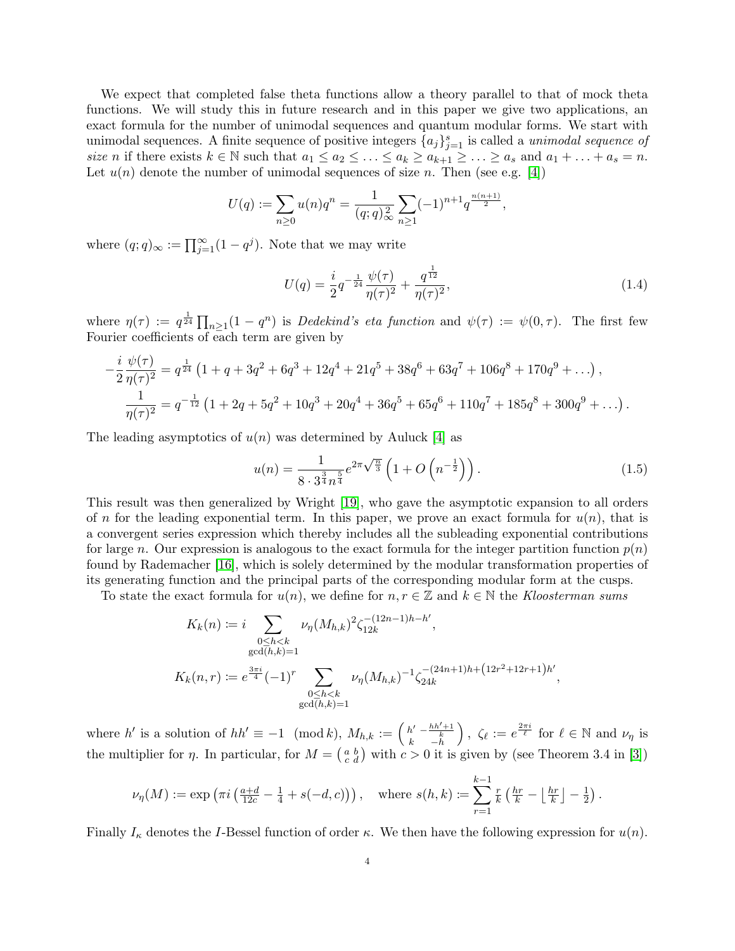We expect that completed false theta functions allow a theory parallel to that of mock theta functions. We will study this in future research and in this paper we give two applications, an exact formula for the number of unimodal sequences and quantum modular forms. We start with unimodal sequences. A finite sequence of positive integers  $\{a_j\}_{j=1}^s$  is called a *unimodal sequence of* size n if there exists  $k \in \mathbb{N}$  such that  $a_1 \le a_2 \le \ldots \le a_k \ge a_{k+1} \ge \ldots \ge a_s$  and  $a_1 + \ldots + a_s = n$ . Let  $u(n)$  denote the number of unimodal sequences of size n. Then (see e.g. [\[4\]](#page-19-16))

$$
U(q) := \sum_{n\geq 0} u(n)q^n = \frac{1}{(q;q)^2} \sum_{n\geq 1} (-1)^{n+1} q^{\frac{n(n+1)}{2}},
$$

where  $(q; q)_{\infty} := \prod_{j=1}^{\infty} (1 - q^j)$ . Note that we may write

<span id="page-3-1"></span>
$$
U(q) = \frac{i}{2}q^{-\frac{1}{24}}\frac{\psi(\tau)}{\eta(\tau)^2} + \frac{q^{\frac{1}{12}}}{\eta(\tau)^2},\tag{1.4}
$$

where  $\eta(\tau) := q^{\frac{1}{24}} \prod_{n \geq 1} (1 - q^n)$  is *Dedekind's eta function* and  $\psi(\tau) := \psi(0, \tau)$ . The first few Fourier coefficients of each term are given by

$$
-\frac{i}{2}\frac{\psi(\tau)}{\eta(\tau)^2} = q^{\frac{1}{24}} \left(1 + q + 3q^2 + 6q^3 + 12q^4 + 21q^5 + 38q^6 + 63q^7 + 106q^8 + 170q^9 + \ldots\right),
$$
  

$$
\frac{1}{\eta(\tau)^2} = q^{-\frac{1}{12}} \left(1 + 2q + 5q^2 + 10q^3 + 20q^4 + 36q^5 + 65q^6 + 110q^7 + 185q^8 + 300q^9 + \ldots\right).
$$

The leading asymptotics of  $u(n)$  was determined by Auluck [\[4\]](#page-19-16) as

<span id="page-3-0"></span>
$$
u(n) = \frac{1}{8 \cdot 3^{\frac{3}{4}} n^{\frac{5}{4}}} e^{2\pi \sqrt{\frac{n}{3}}} \left( 1 + O\left( n^{-\frac{1}{2}} \right) \right).
$$
 (1.5)

This result was then generalized by Wright [\[19\]](#page-19-17), who gave the asymptotic expansion to all orders of n for the leading exponential term. In this paper, we prove an exact formula for  $u(n)$ , that is a convergent series expression which thereby includes all the subleading exponential contributions for large n. Our expression is analogous to the exact formula for the integer partition function  $p(n)$ found by Rademacher [\[16\]](#page-19-18), which is solely determined by the modular transformation properties of its generating function and the principal parts of the corresponding modular form at the cusps.

To state the exact formula for  $u(n)$ , we define for  $n, r \in \mathbb{Z}$  and  $k \in \mathbb{N}$  the Kloosterman sums

$$
K_k(n) := i \sum_{\substack{0 \le h < k \\ \gcd(h,k)=1}} \nu_\eta(M_{h,k})^2 \zeta_{12k}^{-(12n-1)h-h'},
$$
\n
$$
K_k(n,r) := e^{\frac{3\pi i}{4}} (-1)^r \sum_{\substack{0 \le h < k \\ \gcd(h,k)=1}} \nu_\eta(M_{h,k})^{-1} \zeta_{24k}^{-(24n+1)h + (12r^2+12r+1)h'},
$$

where h' is a solution of  $hh' \equiv -1 \pmod{k}$ ,  $M_{h,k} := \begin{pmatrix} h' & -\frac{hh'+1}{k} \\ k & -h \end{pmatrix}$ ),  $\zeta_{\ell} := e^{\frac{2\pi i}{\ell}}$  for  $\ell \in \mathbb{N}$  and  $\nu_{\eta}$  is the multiplier for  $\eta$ . In particular, for  $M = \begin{pmatrix} a & b \\ c & d \end{pmatrix}$  with  $c > 0$  it is given by (see Theorem 3.4 in [\[3\]](#page-19-19))

$$
\nu_{\eta}(M) := \exp\left(\pi i \left(\frac{a+d}{12c} - \frac{1}{4} + s(-d, c)\right)\right), \quad \text{where } s(h, k) := \sum_{r=1}^{k-1} \frac{r}{k} \left(\frac{hr}{k} - \left\lfloor \frac{hr}{k} \right\rfloor - \frac{1}{2}\right).
$$

Finally  $I_{\kappa}$  denotes the I-Bessel function of order  $\kappa$ . We then have the following expression for  $u(n)$ .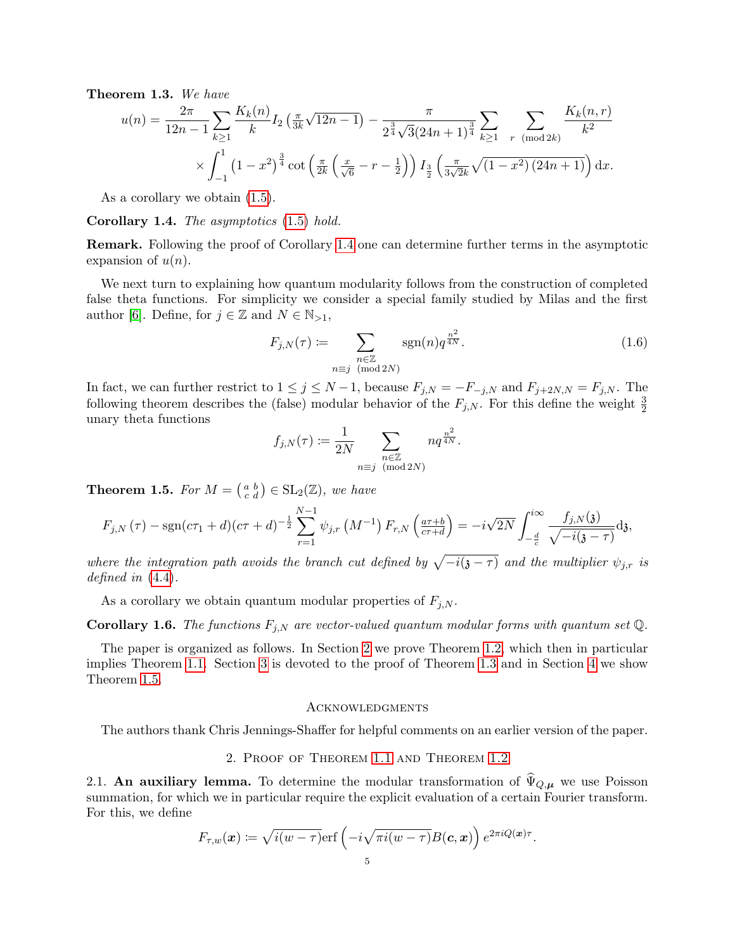<span id="page-4-2"></span>Theorem 1.3. We have

$$
u(n) = \frac{2\pi}{12n-1} \sum_{k\geq 1} \frac{K_k(n)}{k} I_2\left(\frac{\pi}{3k}\sqrt{12n-1}\right) - \frac{\pi}{2^{\frac{3}{4}}\sqrt{3}(24n+1)^{\frac{3}{4}}} \sum_{k\geq 1} \sum_{r \pmod{2k}} \frac{K_k(n,r)}{k^2}
$$

$$
\times \int_{-1}^1 \left(1-x^2\right)^{\frac{3}{4}} \cot\left(\frac{\pi}{2k}\left(\frac{x}{\sqrt{6}}-r-\frac{1}{2}\right)\right) I_{\frac{3}{2}}\left(\frac{\pi}{3\sqrt{2}k}\sqrt{(1-x^2)(24n+1)}\right) dx.
$$

As a corollary we obtain [\(1.5\)](#page-3-0).

<span id="page-4-1"></span>Corollary 1.4. The asymptotics [\(1.5\)](#page-3-0) hold.

Remark. Following the proof of Corollary [1.4](#page-4-1) one can determine further terms in the asymptotic expansion of  $u(n)$ .

We next turn to explaining how quantum modularity follows from the construction of completed false theta functions. For simplicity we consider a special family studied by Milas and the first author [\[6\]](#page-19-4). Define, for  $j \in \mathbb{Z}$  and  $N \in \mathbb{N}_{>1}$ ,

<span id="page-4-5"></span>
$$
F_{j,N}(\tau) := \sum_{\substack{n \in \mathbb{Z} \\ n \equiv j \pmod{2N}}} \text{sgn}(n) q^{\frac{n^2}{4N}}.
$$
 (1.6)

In fact, we can further restrict to  $1 \le j \le N-1$ , because  $F_{j,N} = -F_{-j,N}$  and  $F_{j+2N,N} = F_{j,N}$ . The following theorem describes the (false) modular behavior of the  $F_{j,N}$ . For this define the weight  $\frac{3}{2}$ unary theta functions

$$
f_{j,N}(\tau) \coloneqq \frac{1}{2N} \sum_{\substack{n \in \mathbb{Z} \\ n \equiv j \pmod{2N}}} n q^{\frac{n^2}{4N}}.
$$

<span id="page-4-3"></span>**Theorem 1.5.** For  $M = \begin{pmatrix} a & b \\ c & d \end{pmatrix} \in SL_2(\mathbb{Z})$ , we have

$$
F_{j,N}(\tau) - \text{sgn}(c\tau_1 + d)(c\tau + d)^{-\frac{1}{2}} \sum_{r=1}^{N-1} \psi_{j,r} (M^{-1}) F_{r,N} \left( \frac{a\tau + b}{c\tau + d} \right) = -i\sqrt{2N} \int_{-\frac{d}{c}}^{i\infty} \frac{f_{j,N}(\mathfrak{z})}{\sqrt{-i(\mathfrak{z}-\tau)}} d\mathfrak{z},
$$

where the integration path avoids the branch cut defined by  $\sqrt{-i(j-\tau)}$  and the multiplier  $\psi_{j,r}$  is defined in  $(4.4)$ .

As a corollary we obtain quantum modular properties of  $F_{j,N}$ .

<span id="page-4-4"></span>**Corollary 1.6.** The functions  $F_{j,N}$  are vector-valued quantum modular forms with quantum set Q.

The paper is organized as follows. In Section [2](#page-4-0) we prove Theorem [1.2,](#page-2-1) which then in particular implies Theorem [1.1.](#page-2-0) Section [3](#page-7-1) is devoted to the proof of Theorem [1.3](#page-4-2) and in Section [4](#page-16-0) we show Theorem [1.5.](#page-4-3)

#### **ACKNOWLEDGMENTS**

The authors thank Chris Jennings-Shaffer for helpful comments on an earlier version of the paper.

### 2. Proof of Theorem [1.1](#page-2-0) and Theorem [1.2](#page-2-1)

<span id="page-4-0"></span>2.1. An auxiliary lemma. To determine the modular transformation of  $\hat{\Psi}_{Q,\mu}$  we use Poisson summation, for which we in particular require the explicit evaluation of a certain Fourier transform. For this, we define

$$
F_{\tau,w}(\boldsymbol{x}) \coloneqq \sqrt{i(w-\tau)} \mathrm{erf}\left(-i\sqrt{\pi i(w-\tau)}B(\boldsymbol{c},\boldsymbol{x})\right)e^{2\pi i Q(\boldsymbol{x})\tau}.
$$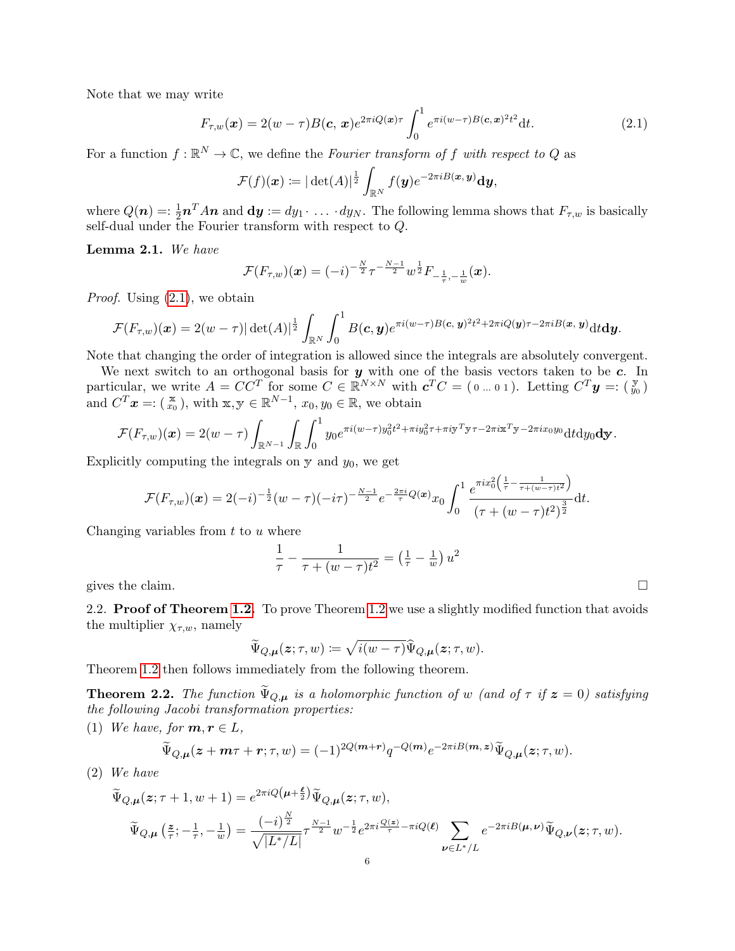Note that we may write

$$
F_{\tau,w}(\boldsymbol{x}) = 2(w-\tau)B(\boldsymbol{c},\,\boldsymbol{x})e^{2\pi i Q(\boldsymbol{x})\tau} \int_0^1 e^{\pi i (w-\tau)B(\boldsymbol{c},\,\boldsymbol{x})^2 t^2} \mathrm{d}t. \tag{2.1}
$$

For a function  $f : \mathbb{R}^N \to \mathbb{C}$ , we define the Fourier transform of f with respect to Q as

<span id="page-5-0"></span>
$$
\mathcal{F}(f)(\boldsymbol{x}) \coloneqq |\det(A)|^{\frac{1}{2}} \int_{\mathbb{R}^N} f(\boldsymbol{y}) e^{-2\pi i B(\boldsymbol{x}, \boldsymbol{y})} \mathrm{d} \boldsymbol{y},
$$

where  $Q(n) =: \frac{1}{2}n^T An$  and  $dy := dy_1 \cdot \ldots \cdot dy_N$ . The following lemma shows that  $F_{\tau,w}$  is basically self-dual under the Fourier transform with respect to Q.

<span id="page-5-1"></span>Lemma 2.1. We have

$$
\mathcal{F}(F_{\tau,w})(\bm{x}) = (-i)^{-\frac{N}{2}} \tau^{-\frac{N-1}{2}} w^{\frac{1}{2}} F_{-\frac{1}{\tau},-\frac{1}{w}}(\bm{x}).
$$

*Proof.* Using  $(2.1)$ , we obtain

$$
\mathcal{F}(F_{\tau,w})(\boldsymbol{x})=2(w-\tau)|\det(A)|^{\frac{1}{2}}\int_{\mathbb{R}^N}\int_0^1B(\boldsymbol{c},\boldsymbol{y})e^{\pi i(w-\tau)B(\boldsymbol{c},\boldsymbol{y})^2t^2+2\pi iQ(\boldsymbol{y})\tau-2\pi iB(\boldsymbol{x},\boldsymbol{y})}\mathrm{d}t\mathrm{d}\boldsymbol{y}.
$$

Note that changing the order of integration is allowed since the integrals are absolutely convergent.

We next switch to an orthogonal basis for  $y$  with one of the basis vectors taken to be  $c$ . In particular, we write  $A = CC^T$  for some  $C \in \mathbb{R}^{N \times N}$  with  $\mathbf{c}^T C = (0 \dots 0 1)$ . Letting  $C^T \mathbf{y} =: (\frac{\mathbf{y}}{y_0})$ and  $C^T$ **x** =:  $\left(\begin{matrix} \mathbf{x} \\ x_0 \end{matrix}\right)$ , with  $\mathbf{x}, \mathbf{y} \in \mathbb{R}^{N-1}$ ,  $x_0, y_0 \in \mathbb{R}$ , we obtain

$$
\mathcal{F}(F_{\tau,w})(\boldsymbol{x})=2(w-\tau)\int_{\mathbb{R}^{N-1}}\int_{\mathbb{R}}\int_0^1y_0e^{\pi i(w-\tau)y_0^2t^2+\pi iy_0^2\tau+\pi iy^T\mathbf{y}\tau-2\pi i\mathbf{x}^T\mathbf{y}-2\pi ix_0y_0}\mathrm{d}t\mathrm{d}y_0\mathbf{dy}.
$$

Explicitly computing the integrals on  $y$  and  $y_0$ , we get

$$
\mathcal{F}(F_{\tau,w})(\boldsymbol{x}) = 2(-i)^{-\frac{1}{2}}(w-\tau)(-i\tau)^{-\frac{N-1}{2}}e^{-\frac{2\pi i}{\tau}Q(\boldsymbol{x})}x_0\int_0^1\frac{e^{\pi ix_0^2\left(\frac{1}{\tau}-\frac{1}{\tau+(w-\tau)t^2}\right)}}{(\tau+(w-\tau)t^2)^{\frac{3}{2}}}\mathrm{d}t.
$$

Changing variables from  $t$  to  $u$  where

$$
\frac{1}{\tau} - \frac{1}{\tau + (w - \tau)t^2} = \left(\frac{1}{\tau} - \frac{1}{w}\right)u^2
$$

gives the claim.  $\square$ 

2.2. **Proof of Theorem [1.2.](#page-2-1)** To prove Theorem [1.2](#page-2-1) we use a slightly modified function that avoids the multiplier  $\chi_{\tau,w}$ , namely

$$
\widetilde{\Psi}_{Q,\mu}(z;\tau,w)\coloneqq\sqrt{i(w-\tau)}\widehat{\Psi}_{Q,\mu}(z;\tau,w).
$$

Theorem [1.2](#page-2-1) then follows immediately from the following theorem.

**Theorem 2.2.** The function  $\widetilde{\Psi}_{Q,\mu}$  is a holomorphic function of w (and of  $\tau$  if  $z = 0$ ) satisfying the following Jacobi transformation properties:

(1) We have, for  $m, r \in L$ ,

$$
\widetilde{\Psi}_{Q,\mu}(z+m\tau+r;\tau,w)=(-1)^{2Q(m+r)}q^{-Q(m)}e^{-2\pi iB(m,z)}\widetilde{\Psi}_{Q,\mu}(z;\tau,w).
$$

(2) We have

$$
\begin{split} &\widetilde{\Psi}_{Q,\pmb{\mu}}(\pmb{z};\tau+1,w+1)=e^{2\pi i Q\left(\pmb{\mu}+\frac{\pmb{\ell}}{2}\right)}\widetilde{\Psi}_{Q,\pmb{\mu}}(\pmb{z};\tau,w),\\ &\widetilde{\Psi}_{Q,\pmb{\mu}}\left(\frac{\pmb{z}}{\tau};-\frac{1}{\tau},-\frac{1}{w}\right)=\frac{\left(-i\right)^{\frac{N}{2}}}{\sqrt{|L^*/L|}}\tau^{\frac{N-1}{2}}w^{-\frac{1}{2}}e^{2\pi i \frac{Q(\pmb{z})}{\tau}-\pi i Q(\pmb{\ell})}\sum_{\pmb{\nu}\in L^*/L}e^{-2\pi i B(\pmb{\mu},\pmb{\nu})}\widetilde{\Psi}_{Q,\pmb{\nu}}(\pmb{z};\tau,w). \end{split}
$$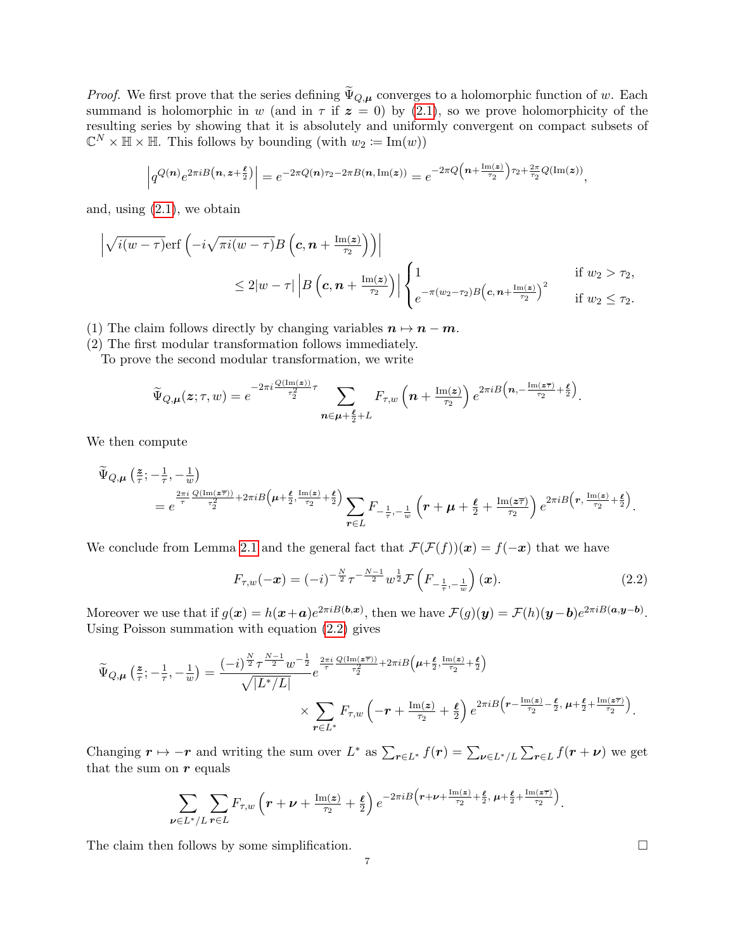*Proof.* We first prove that the series defining  $\widetilde{\Psi}_{Q,\mu}$  converges to a holomorphic function of w. Each summand is holomorphic in w (and in  $\tau$  if  $z = 0$ ) by [\(2.1\)](#page-5-0), so we prove holomorphicity of the resulting series by showing that it is absolutely and uniformly convergent on compact subsets of  $\mathbb{C}^N \times \mathbb{H} \times \mathbb{H}$ . This follows by bounding (with  $w_2 \coloneqq \text{Im}(w)$ )

$$
\left| q^{Q(n)} e^{2\pi i B\left(n, z+\frac{\ell}{2}\right)} \right| = e^{-2\pi Q(n)\tau_2 - 2\pi B(n, \operatorname{Im}(z))} = e^{-2\pi Q\left(n + \frac{\operatorname{Im}(z)}{\tau_2}\right)\tau_2 + \frac{2\pi}{\tau_2}Q(\operatorname{Im}(z))},
$$

and, using [\(2.1\)](#page-5-0), we obtain

$$
\left| \sqrt{i(w-\tau)} \text{erf}\left(-i\sqrt{\pi i(w-\tau)}B\left(\mathbf{c}, \mathbf{n}+\frac{\text{Im}(\mathbf{z})}{\tau_2}\right)\right) \right|
$$
\n
$$
\leq 2|w-\tau| \left|B\left(\mathbf{c}, \mathbf{n}+\frac{\text{Im}(\mathbf{z})}{\tau_2}\right)\right| \begin{cases} 1 & \text{if } w_2 > \tau_2, \\ e^{-\pi(w_2-\tau_2)B\left(\mathbf{c}, \mathbf{n}+\frac{\text{Im}(\mathbf{z})}{\tau_2}\right)^2} & \text{if } w_2 \leq \tau_2. \end{cases}
$$

(1) The claim follows directly by changing variables  $n \mapsto n - m$ .

(2) The first modular transformation follows immediately.

To prove the second modular transformation, we write

$$
\widetilde{\Psi}_{Q,\mu}(z;\tau,w) = e^{-2\pi i \frac{Q(\mathrm{Im}(z))}{\tau_2^2}\tau} \sum_{\mathbf{n}\in\mu+\frac{\ell}{2}+L} F_{\tau,w}\left(\mathbf{n}+\frac{\mathrm{Im}(z)}{\tau_2}\right) e^{2\pi i B\left(\mathbf{n},-\frac{\mathrm{Im}(z\overline{\tau})}{\tau_2}+\frac{\ell}{2}\right)}.
$$

We then compute

$$
\begin{split} \widetilde{\Psi}_{Q,\mu}\left(\frac{z}{\tau};-\frac{1}{\tau},-\frac{1}{w}\right)\\ & = e^{\frac{2\pi i}{\tau}\frac{Q(\text{Im}(z\overline{\tau}))}{\tau_2^2}+2\pi iB\left(\mu+\frac{\ell}{2},\frac{\text{Im}(z)}{\tau_2}+\frac{\ell}{2}\right)}\sum_{r\in L}F_{-\frac{1}{\tau},-\frac{1}{w}}\left(r+\mu+\frac{\ell}{2}+\frac{\text{Im}(z\overline{\tau})}{\tau_2}\right)e^{2\pi iB\left(r,\frac{\text{Im}(z)}{\tau_2}+\frac{\ell}{2}\right)}. \end{split}
$$

We conclude from Lemma [2.1](#page-5-1) and the general fact that  $\mathcal{F}(\mathcal{F}(f))(x) = f(-x)$  that we have

<span id="page-6-0"></span>
$$
F_{\tau,w}(-x) = (-i)^{-\frac{N}{2}} \tau^{-\frac{N-1}{2}} w^{\frac{1}{2}} \mathcal{F}\left(F_{-\frac{1}{\tau},-\frac{1}{w}}\right)(x).
$$
 (2.2)

Moreover we use that if  $g(x) = h(x+a)e^{2\pi i B(b,x)}$ , then we have  $\mathcal{F}(g)(y) = \mathcal{F}(h)(y-b)e^{2\pi i B(a,y-b)}$ . Using Poisson summation with equation [\(2.2\)](#page-6-0) gives

$$
\widetilde{\Psi}_{Q,\mu}\left(\frac{\mathbf{z}}{\tau};-\frac{1}{\tau},-\frac{1}{w}\right) = \frac{\left(-i\right)^{\frac{N}{2}} \tau^{\frac{N-1}{2}} w^{-\frac{1}{2}}}{\sqrt{|L^*/L|}} e^{\frac{2\pi i}{\tau} \frac{Q(\text{Im}\left(\mathbf{z}\overline{\tau}\right))}{\tau_2^2} + 2\pi i B\left(\mu + \frac{\ell}{2},\frac{\text{Im}\left(\mathbf{z}\right)}{\tau_2} + \frac{\ell}{2}\right)} \times \sum_{\mathbf{r} \in L^*} F_{\tau,w}\left(-\mathbf{r} + \frac{\text{Im}\left(\mathbf{z}\right)}{\tau_2} + \frac{\ell}{2}\right) e^{2\pi i B\left(\mathbf{r} - \frac{\text{Im}\left(\mathbf{z}\right)}{\tau_2} - \frac{\ell}{2}, \mu + \frac{\ell}{2} + \frac{\text{Im}\left(\mathbf{z}\overline{\tau}\right)}{\tau_2}\right)}.
$$

Changing  $r \mapsto -r$  and writing the sum over  $L^*$  as  $\sum_{r \in L^*} f(r) = \sum_{\nu \in L^*/L} \sum_{r \in L} f(r + \nu)$  we get that the sum on  $r$  equals

$$
\sum_{\nu\in L^*/L}\sum_{\mathbf{r}\in L}F_{\tau,w}\left(\mathbf{r}+\nu+\tfrac{\mathrm{Im}(z)}{\tau_2}+\tfrac{\ell}{2}\right)e^{-2\pi iB\left(\mathbf{r}+\nu+\tfrac{\mathrm{Im}(z)}{\tau_2}+\tfrac{\ell}{2},\,\mu+\tfrac{\ell}{2}+\tfrac{\mathrm{Im}(z\overline{\tau})}{\tau_2}\right)}.
$$

The claim then follows by some simplification.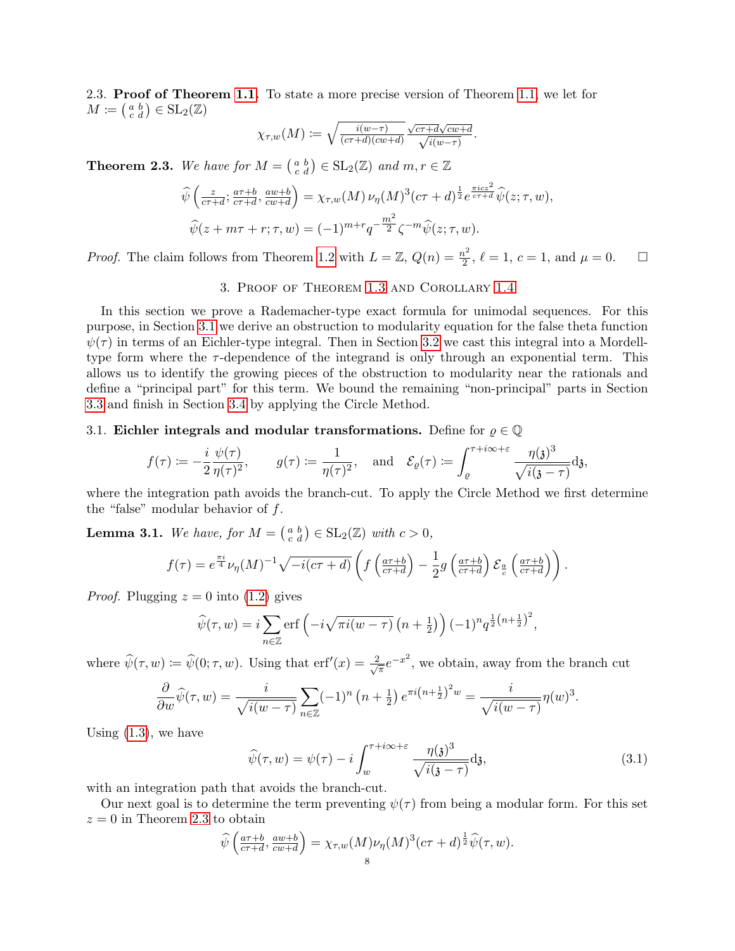2.3. Proof of Theorem [1.1.](#page-2-0) To state a more precise version of Theorem [1.1,](#page-2-0) we let for  $M \coloneqq \left( \begin{smallmatrix} a & b \\ c & d \end{smallmatrix} \right) \in \text{SL}_2(\mathbb{Z})$ 

$$
\chi_{\tau,w}(M) \coloneqq \sqrt{\tfrac{i(w-\tau)}{(c\tau+d)(cw+d)}} \tfrac{\sqrt{c\tau+d}\sqrt{cw+d}}{\sqrt{i(w-\tau)}}.
$$

<span id="page-7-0"></span>**Theorem 2.3.** We have for  $M = \begin{pmatrix} a & b \\ c & d \end{pmatrix} \in SL_2(\mathbb{Z})$  and  $m, r \in \mathbb{Z}$ 

$$
\widehat{\psi}\left(\frac{z}{c\tau+d};\frac{a\tau+b}{c\tau+d},\frac{aw+b}{cw+d}\right) = \chi_{\tau,w}(M)\,\nu_{\eta}(M)^3(c\tau+d)^{\frac{1}{2}}e^{\frac{\pi icz^2}{c\tau+d}}\widehat{\psi}(z;\tau,w),
$$
  

$$
\widehat{\psi}(z+m\tau+r;\tau,w) = (-1)^{m+r}q^{-\frac{m^2}{2}}\zeta^{-m}\widehat{\psi}(z;\tau,w).
$$

*Proof.* The claim follows from Theorem [1.2](#page-2-1) with  $L = \mathbb{Z}$ ,  $Q(n) = \frac{n^2}{2}$  $\frac{a^2}{2}$ ,  $\ell = 1$ ,  $c = 1$ , and  $\mu = 0$ .  $\Box$ 

### 3. Proof of Theorem [1.3](#page-4-2) and Corollary [1.4](#page-4-1)

<span id="page-7-1"></span>In this section we prove a Rademacher-type exact formula for unimodal sequences. For this purpose, in Section [3.1](#page-7-2) we derive an obstruction to modularity equation for the false theta function  $\psi(\tau)$  in terms of an Eichler-type integral. Then in Section [3.2](#page-8-0) we cast this integral into a Mordelltype form where the  $\tau$ -dependence of the integrand is only through an exponential term. This allows us to identify the growing pieces of the obstruction to modularity near the rationals and define a "principal part" for this term. We bound the remaining "non-principal" parts in Section [3.3](#page-10-0) and finish in Section [3.4](#page-13-0) by applying the Circle Method.

### <span id="page-7-2"></span>3.1. Eichler integrals and modular transformations. Define for  $\varrho \in \mathbb{Q}$

$$
f(\tau) \coloneqq -\frac{i}{2} \frac{\psi(\tau)}{\eta(\tau)^2}, \qquad g(\tau) \coloneqq \frac{1}{\eta(\tau)^2}, \quad \text{and} \quad \mathcal{E}_\varrho(\tau) \coloneqq \int_\varrho^{\tau + i\infty + \varepsilon} \frac{\eta(\mathfrak{z})^3}{\sqrt{i(\mathfrak{z} - \tau)}} \mathrm{d} \mathfrak{z},
$$

where the integration path avoids the branch-cut. To apply the Circle Method we first determine the "false" modular behavior of  $f$ .

<span id="page-7-4"></span>**Lemma 3.1.** We have, for  $M = \begin{pmatrix} a & b \\ c & d \end{pmatrix} \in SL_2(\mathbb{Z})$  with  $c > 0$ ,

$$
f(\tau) = e^{\frac{\pi i}{4}} \nu_{\eta}(M)^{-1} \sqrt{-i(c\tau + d)} \left( f\left(\frac{a\tau + b}{c\tau + d}\right) - \frac{1}{2} g\left(\frac{a\tau + b}{c\tau + d}\right) \mathcal{E}_{\frac{a}{c}}\left(\frac{a\tau + b}{c\tau + d}\right) \right).
$$

*Proof.* Plugging  $z = 0$  into [\(1.2\)](#page-2-2) gives

$$
\widehat{\psi}(\tau, w) = i \sum_{n \in \mathbb{Z}} \operatorname{erf} \left( -i \sqrt{\pi i (w - \tau)} \left( n + \frac{1}{2} \right) \right) (-1)^n q^{\frac{1}{2} \left( n + \frac{1}{2} \right)^2},
$$

where  $\widehat{\psi}(\tau,w) \coloneqq \widehat{\psi}(0;\tau,w)$ . Using that  $\mathrm{erf}'(x) = \frac{2}{\sqrt{x}}$  $\frac{h}{\pi}e^{-x^2}$ , we obtain, away from the branch cut

$$
\frac{\partial}{\partial w}\widehat{\psi}(\tau,w) = \frac{i}{\sqrt{i(w-\tau)}} \sum_{n \in \mathbb{Z}} (-1)^n \left(n + \frac{1}{2}\right) e^{\pi i \left(n + \frac{1}{2}\right)^2 w} = \frac{i}{\sqrt{i(w-\tau)}} \eta(w)^3.
$$

Using  $(1.3)$ , we have

<span id="page-7-3"></span>
$$
\widehat{\psi}(\tau, w) = \psi(\tau) - i \int_{w}^{\tau + i\infty + \varepsilon} \frac{\eta(\mathfrak{z})^3}{\sqrt{i(\mathfrak{z} - \tau)}} d\mathfrak{z},\tag{3.1}
$$

with an integration path that avoids the branch-cut.

Our next goal is to determine the term preventing  $\psi(\tau)$  from being a modular form. For this set  $z = 0$  in Theorem [2.3](#page-7-0) to obtain

$$
\widehat{\psi}\left(\frac{a\tau+b}{c\tau+d}, \frac{aw+b}{cw+d}\right) = \chi_{\tau,w}(M)\nu_{\eta}(M)^{3}(c\tau+d)^{\frac{1}{2}}\widehat{\psi}(\tau,w).
$$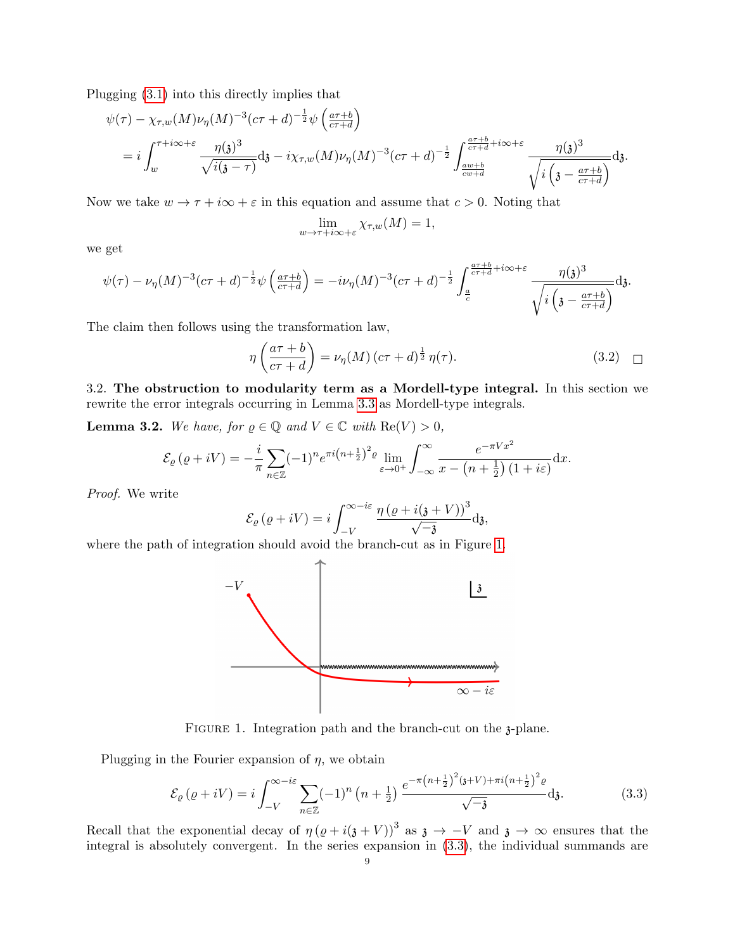Plugging [\(3.1\)](#page-7-3) into this directly implies that

$$
\psi(\tau) - \chi_{\tau,w}(M)\nu_{\eta}(M)^{-3}(c\tau+d)^{-\frac{1}{2}}\psi\left(\frac{a\tau+b}{c\tau+d}\right)
$$
  
=  $i\int_{w}^{\tau+i\infty+\varepsilon} \frac{\eta(\mathfrak{z})^{3}}{\sqrt{i(\mathfrak{z}-\tau)}} d\mathfrak{z} - i\chi_{\tau,w}(M)\nu_{\eta}(M)^{-3}(c\tau+d)^{-\frac{1}{2}}\int_{\frac{a\psi+b}{c\psi+d}}^{\frac{a\tau+b}{c\tau+d}+i\infty+\varepsilon} \frac{\eta(\mathfrak{z})^{3}}{\sqrt{i(\mathfrak{z}-\frac{a\tau+b}{c\tau+d})}}d\mathfrak{z}.$ 

Now we take  $w \to \tau + i\infty + \varepsilon$  in this equation and assume that  $c > 0$ . Noting that

$$
\lim_{w \to \tau + i\infty + \varepsilon} \chi_{\tau,w}(M) = 1,
$$

we get

$$
\psi(\tau) - \nu_{\eta}(M)^{-3}(c\tau + d)^{-\frac{1}{2}}\psi\left(\frac{a\tau + b}{c\tau + d}\right) = -i\nu_{\eta}(M)^{-3}(c\tau + d)^{-\frac{1}{2}}\int_{\frac{a}{c}}^{\frac{a\tau + b}{c\tau + d} + i\infty + \varepsilon} \frac{\eta(\mathfrak{z})^3}{\sqrt{i\left(\mathfrak{z} - \frac{a\tau + b}{c\tau + d}\right)}}\mathrm{d}\mathfrak{z}.
$$

The claim then follows using the transformation law,

$$
\eta\left(\frac{a\tau+b}{c\tau+d}\right) = \nu_{\eta}(M)\left(c\tau+d\right)^{\frac{1}{2}}\eta(\tau). \tag{3.2}
$$

<span id="page-8-0"></span>3.2. The obstruction to modularity term as a Mordell-type integral. In this section we rewrite the error integrals occurring in Lemma [3.3](#page-10-1) as Mordell-type integrals.

<span id="page-8-3"></span>**Lemma 3.2.** We have, for  $\varrho \in \mathbb{Q}$  and  $V \in \mathbb{C}$  with  $\text{Re}(V) > 0$ ,

$$
\mathcal{E}_{\varrho}(\varrho+iV) = -\frac{i}{\pi} \sum_{n \in \mathbb{Z}} (-1)^n e^{\pi i \left(n + \frac{1}{2}\right)^2 \varrho} \lim_{\varepsilon \to 0^+} \int_{-\infty}^{\infty} \frac{e^{-\pi V x^2}}{x - \left(n + \frac{1}{2}\right)(1 + i\varepsilon)} dx.
$$

Proof. We write

$$
\mathcal{E}_{\varrho}(\varrho + iV) = i \int_{-V}^{\infty - i\varepsilon} \frac{\eta(\varrho + i(\mathfrak{z} + V))^3}{\sqrt{-\mathfrak{z}}} \mathrm{d}\mathfrak{z},
$$

<span id="page-8-1"></span>where the path of integration should avoid the branch-cut as in Figure [1.](#page-8-1)



FIGURE 1. Integration path and the branch-cut on the 3-plane.

Plugging in the Fourier expansion of  $\eta$ , we obtain

<span id="page-8-2"></span>
$$
\mathcal{E}_{\varrho}(\varrho + iV) = i \int_{-V}^{\infty - i\varepsilon} \sum_{n \in \mathbb{Z}} (-1)^n (n + \frac{1}{2}) \frac{e^{-\pi (n + \frac{1}{2})^2 (3+V) + \pi i (n + \frac{1}{2})^2 \varrho}}{\sqrt{-3}} d\mathfrak{z}.
$$
 (3.3)

Recall that the exponential decay of  $\eta (\varrho + i(\varrho + V))^3$  as  $\varrho \to -V$  and  $\varrho \to \infty$  ensures that the integral is absolutely convergent. In the series expansion in [\(3.3\)](#page-8-2), the individual summands are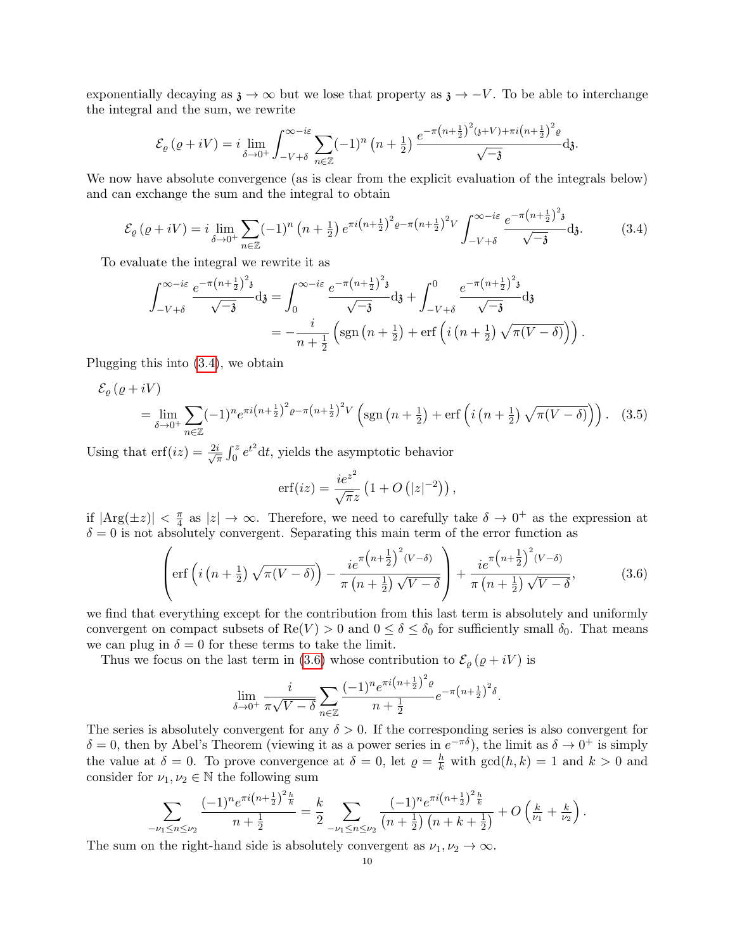exponentially decaying as  $\lambda \to \infty$  but we lose that property as  $\lambda \to -V$ . To be able to interchange the integral and the sum, we rewrite

$$
\mathcal{E}_{\varrho}(\varrho+iV)=i\lim_{\delta\to 0^+}\int_{-V+\delta}^{\infty-i\varepsilon}\sum_{n\in\mathbb{Z}}(-1)^n\left(n+\frac{1}{2}\right)\frac{e^{-\pi\left(n+\frac{1}{2}\right)^2\left(\mathfrak{z}+V\right)+\pi i\left(n+\frac{1}{2}\right)^2\varrho}}{\sqrt{-\mathfrak{z}}}\mathrm{d}\mathfrak{z}.
$$

We now have absolute convergence (as is clear from the explicit evaluation of the integrals below) and can exchange the sum and the integral to obtain

<span id="page-9-0"></span>
$$
\mathcal{E}_{\varrho}(\varrho + iV) = i \lim_{\delta \to 0^{+}} \sum_{n \in \mathbb{Z}} (-1)^{n} \left( n + \frac{1}{2} \right) e^{\pi i \left( n + \frac{1}{2} \right)^{2} \varrho - \pi \left( n + \frac{1}{2} \right)^{2} V} \int_{-V + \delta}^{\infty - i\varepsilon} \frac{e^{-\pi \left( n + \frac{1}{2} \right)^{2} \mathfrak{z}}}{\sqrt{-\mathfrak{z}}} \mathrm{d} \mathfrak{z}.
$$
 (3.4)

To evaluate the integral we rewrite it as

$$
\int_{-V+\delta}^{\infty-i\varepsilon} \frac{e^{-\pi (n+\frac{1}{2})^2 \mathfrak{z}}}{\sqrt{-\mathfrak{z}}} \mathrm{d} \mathfrak{z} = \int_0^{\infty-i\varepsilon} \frac{e^{-\pi (n+\frac{1}{2})^2 \mathfrak{z}}}{\sqrt{-\mathfrak{z}}} \mathrm{d} \mathfrak{z} + \int_{-V+\delta}^0 \frac{e^{-\pi (n+\frac{1}{2})^2 \mathfrak{z}}}{\sqrt{-\mathfrak{z}}} \mathrm{d} \mathfrak{z}
$$
  
= 
$$
-\frac{i}{n+\frac{1}{2}} \left( \mathrm{sgn} \left( n+\frac{1}{2} \right) + \mathrm{erf} \left( i \left( n+\frac{1}{2} \right) \sqrt{\pi (V-\delta)} \right) \right).
$$

Plugging this into [\(3.4\)](#page-9-0), we obtain

$$
\mathcal{E}_{\varrho}(\varrho + iV)
$$
\n
$$
= \lim_{\delta \to 0^{+}} \sum_{n \in \mathbb{Z}} (-1)^{n} e^{\pi i \left(n + \frac{1}{2}\right)^{2} \varrho - \pi \left(n + \frac{1}{2}\right)^{2} V} \left(\text{sgn}\left(n + \frac{1}{2}\right) + \text{erf}\left(i\left(n + \frac{1}{2}\right)\sqrt{\pi(V - \delta)}\right)\right). \tag{3.5}
$$

Using that  $\text{erf}(iz) = \frac{2i}{\sqrt{3}}$  $\frac{i}{\pi} \int_0^z e^{t^2} dt$ , yields the asymptotic behavior

<span id="page-9-2"></span>
$$
\operatorname{erf}(iz) = \frac{ie^{z^2}}{\sqrt{\pi}z} \left(1 + O\left(|z|^{-2}\right)\right),
$$

if  $|\text{Arg}(\pm z)| < \frac{\pi}{4}$  $\frac{\pi}{4}$  as  $|z| \to \infty$ . Therefore, we need to carefully take  $\delta \to 0^+$  as the expression at  $\delta = 0$  is not absolutely convergent. Separating this main term of the error function as

<span id="page-9-1"></span>
$$
\left(\text{erf}\left(i\left(n+\frac{1}{2}\right)\sqrt{\pi(V-\delta)}\right)-\frac{ie^{\pi\left(n+\frac{1}{2}\right)^2(V-\delta)}}{\pi\left(n+\frac{1}{2}\right)\sqrt{V-\delta}}\right)+\frac{ie^{\pi\left(n+\frac{1}{2}\right)^2(V-\delta)}}{\pi\left(n+\frac{1}{2}\right)\sqrt{V-\delta}},\tag{3.6}
$$

we find that everything except for the contribution from this last term is absolutely and uniformly convergent on compact subsets of  $\text{Re}(V) > 0$  and  $0 \le \delta \le \delta_0$  for sufficiently small  $\delta_0$ . That means we can plug in  $\delta = 0$  for these terms to take the limit.

Thus we focus on the last term in [\(3.6\)](#page-9-1) whose contribution to  $\mathcal{E}_{\varrho}(\varrho+iV)$  is

$$
\lim_{\delta \to 0^+} \frac{i}{\pi\sqrt{V-\delta}} \sum_{n \in \mathbb{Z}} \frac{(-1)^n e^{\pi i (n+\frac{1}{2})^2 \varrho}}{n+\frac{1}{2}} e^{-\pi (n+\frac{1}{2})^2 \delta}.
$$

The series is absolutely convergent for any  $\delta > 0$ . If the corresponding series is also convergent for  $\delta = 0$ , then by Abel's Theorem (viewing it as a power series in  $e^{-\pi\delta}$ ), the limit as  $\delta \to 0^+$  is simply the value at  $\delta = 0$ . To prove convergence at  $\delta = 0$ , let  $\rho = \frac{h}{k}$  with  $gcd(h, k) = 1$  and  $k > 0$  and consider for  $\nu_1, \nu_2 \in \mathbb{N}$  the following sum

$$
\sum_{-\nu_1\leq n\leq \nu_2}\frac{(-1)^ne^{\pi i\left(n+\frac{1}{2}\right)^2\frac{h}{k}}}{n+\frac{1}{2}}=\frac{k}{2}\sum_{-\nu_1\leq n\leq \nu_2}\frac{(-1)^ne^{\pi i\left(n+\frac{1}{2}\right)^2\frac{h}{k}}}{\left(n+\frac{1}{2}\right)\left(n+k+\frac{1}{2}\right)}+O\left(\frac{k}{\nu_1}+\frac{k}{\nu_2}\right).
$$

The sum on the right-hand side is absolutely convergent as  $\nu_1, \nu_2 \to \infty$ .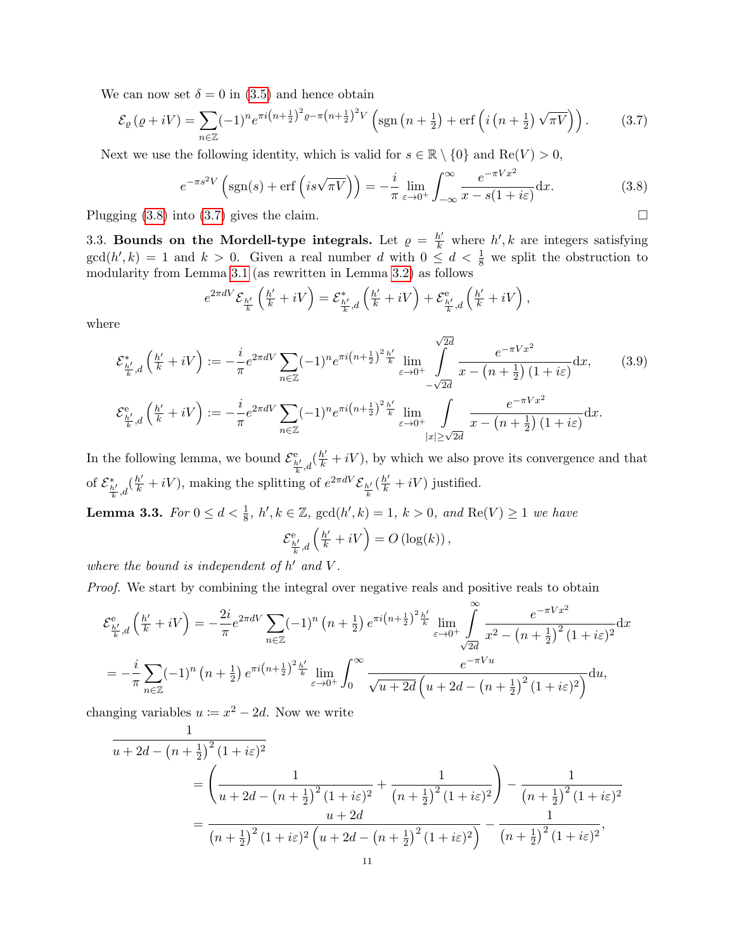We can now set  $\delta = 0$  in [\(3.5\)](#page-9-2) and hence obtain

<span id="page-10-3"></span>
$$
\mathcal{E}_{\varrho}(\varrho+iV) = \sum_{n\in\mathbb{Z}} (-1)^n e^{\pi i \left(n+\frac{1}{2}\right)^2 \varrho - \pi \left(n+\frac{1}{2}\right)^2 V} \left(\text{sgn}\left(n+\frac{1}{2}\right) + \text{erf}\left(i\left(n+\frac{1}{2}\right)\sqrt{\pi V}\right)\right). \tag{3.7}
$$

Next we use the following identity, which is valid for  $s \in \mathbb{R} \setminus \{0\}$  and  $\text{Re}(V) > 0$ ,

<span id="page-10-2"></span>
$$
e^{-\pi s^2 V} \left( \text{sgn}(s) + \text{erf}\left( i s \sqrt{\pi V} \right) \right) = -\frac{i}{\pi} \lim_{\varepsilon \to 0^+} \int_{-\infty}^{\infty} \frac{e^{-\pi V x^2}}{x - s(1 + i\varepsilon)} \, \mathrm{d}x. \tag{3.8}
$$

Plugging  $(3.8)$  into  $(3.7)$  gives the claim.

<span id="page-10-0"></span>3.3. Bounds on the Mordell-type integrals. Let  $\rho = \frac{h'}{k}$  where  $h', k$  are integers satisfying  $gcd(h', k) = 1$  and  $k > 0$ . Given a real number d with  $0 \leq d < \frac{1}{8}$  we split the obstruction to modularity from Lemma [3.1](#page-7-4) (as rewritten in Lemma [3.2\)](#page-8-3) as follows

$$
e^{2\pi d V}\mathcal{E}_{\frac{h'}{k}}\left(\frac{h'}{k}+iV\right)=\mathcal{E}_{\frac{h'}{k},d}^*\left(\frac{h'}{k}+iV\right)+\mathcal{E}_{\frac{h'}{k},d}^{\text{e}}\left(\frac{h'}{k}+iV\right),
$$

where

$$
\mathcal{E}_{\frac{h'}{k},d}^{*}\left(\frac{h'}{k}+iV\right) := -\frac{i}{\pi}e^{2\pi d V} \sum_{n\in\mathbb{Z}} (-1)^{n} e^{\pi i \left(n+\frac{1}{2}\right)^{2} \frac{h'}{k}} \lim_{\varepsilon\to 0^{+}} \int_{-\sqrt{2d}}^{\sqrt{2d}} \frac{e^{-\pi Vx^{2}}}{x-\left(n+\frac{1}{2}\right)\left(1+i\varepsilon\right)} dx, \qquad (3.9)
$$

$$
\mathcal{E}_{\frac{h'}{k},d}^{e}\left(\frac{h'}{k}+iV\right) := -\frac{i}{\pi}e^{2\pi d V} \sum_{n\in\mathbb{Z}} (-1)^{n} e^{\pi i \left(n+\frac{1}{2}\right)^{2} \frac{h'}{k}} \lim_{\varepsilon\to 0^{+}} \int_{\substack{|x|\geq \sqrt{2d} \\ |x|\geq \sqrt{2d}}} \frac{e^{-\pi Vx^{2}}}{x-\left(n+\frac{1}{2}\right)\left(1+i\varepsilon\right)} dx.
$$

In the following lemma, we bound  $\mathcal{E}^{\text{e}}_{\frac{h'}{k},d}(\frac{h'}{k}+iV)$ , by which we also prove its convergence and that of  $\mathcal{E}_{\frac{h'}{k},d}^{*}(\frac{h'}{k}+iV)$ , making the splitting of  $e^{2\pi dV}\mathcal{E}_{\frac{h'}{k}}(\frac{h'}{k}+iV)$  justified.

<span id="page-10-1"></span>**Lemma 3.3.** For  $0 \le d < \frac{1}{8}$ ,  $h', k \in \mathbb{Z}$ ,  $\gcd(h', k) = 1$ ,  $k > 0$ , and  $\text{Re}(V) \ge 1$  we have

<span id="page-10-4"></span>
$$
\mathcal{E}^{\mathsf{e}}_{\frac{h'}{k},d}\left(\frac{h'}{k}+iV\right) = O\left(\log(k)\right),\,
$$

where the bound is independent of  $h'$  and  $V$ .

Proof. We start by combining the integral over negative reals and positive reals to obtain

$$
\mathcal{E}^{e}_{\frac{h'}{k},d} \left( \frac{h'}{k} + iV \right) = -\frac{2i}{\pi} e^{2\pi dV} \sum_{n \in \mathbb{Z}} (-1)^n \left( n + \frac{1}{2} \right) e^{\pi i \left( n + \frac{1}{2} \right)^2 \frac{h'}{k}} \lim_{\varepsilon \to 0^+} \int_{\sqrt{2d}}^{\infty} \frac{e^{-\pi V x^2}}{x^2 - \left( n + \frac{1}{2} \right)^2 (1 + i\varepsilon)^2} dx
$$
  
= 
$$
-\frac{i}{\pi} \sum_{n \in \mathbb{Z}} (-1)^n \left( n + \frac{1}{2} \right) e^{\pi i \left( n + \frac{1}{2} \right)^2 \frac{h'}{k}} \lim_{\varepsilon \to 0^+} \int_0^{\infty} \frac{e^{-\pi Vu}}{\sqrt{u + 2d} \left( u + 2d - \left( n + \frac{1}{2} \right)^2 (1 + i\varepsilon)^2 \right)} du,
$$

changing variables  $u := x^2 - 2d$ . Now we write

$$
\frac{1}{u+2d-(n+\frac{1}{2})^2(1+i\varepsilon)^2} = \left(\frac{1}{u+2d-(n+\frac{1}{2})^2(1+i\varepsilon)^2} + \frac{1}{(n+\frac{1}{2})^2(1+i\varepsilon)^2}\right) - \frac{1}{(n+\frac{1}{2})^2(1+i\varepsilon)^2} = \frac{u+2d}{(n+\frac{1}{2})^2(1+i\varepsilon)^2(u+2d-(n+\frac{1}{2})^2(1+i\varepsilon)^2)} - \frac{1}{(n+\frac{1}{2})^2(1+i\varepsilon)^2},
$$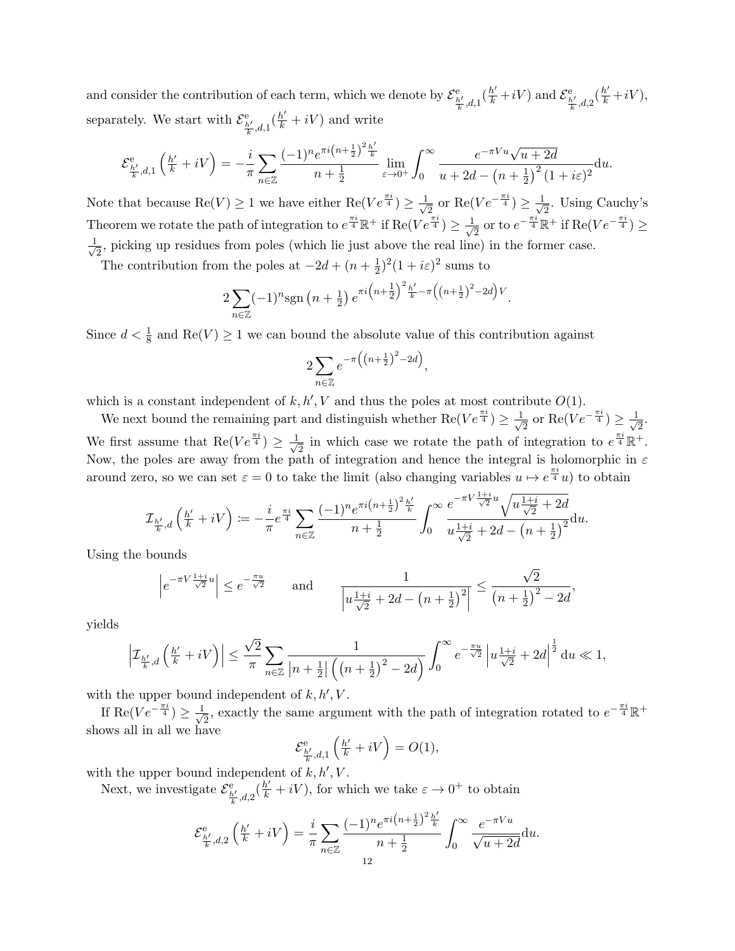and consider the contribution of each term, which we denote by  $\mathcal{E}^e_{\frac{h'}{k},d,1}(\frac{h'}{k}+iV)$  and  $\mathcal{E}^e_{\frac{h'}{k},d,2}(\frac{h'}{k}+iV)$ , separately. We start with  $\mathcal{E}^{\text{e}}_{\frac{h'}{k},d,1}(\frac{h'}{k}+iV)$  and write

$$
\mathcal{E}^{\mathsf{e}}_{\frac{h'}{k},d,1}\left(\frac{h'}{k}+iV\right) = -\frac{i}{\pi} \sum_{n \in \mathbb{Z}} \frac{(-1)^n e^{\pi i \left(n+\frac{1}{2}\right)^2 \frac{h'}{k}}}{n+\frac{1}{2}} \lim_{\varepsilon \to 0^+} \int_0^\infty \frac{e^{-\pi Vu} \sqrt{u+2d}}{u+2d-\left(n+\frac{1}{2}\right)^2 (1+i\varepsilon)^2} \mathrm{d}u.
$$

Note that because  $\text{Re}(V) \geq 1$  we have either  $\text{Re}(Ve^{\frac{\pi i}{4}}) \geq \frac{1}{4}$  $\frac{1}{2}$  or  $\text{Re}(Ve^{-\frac{\pi i}{4}}) \geq \frac{1}{\sqrt{4}}$  $\frac{1}{2}$ . Using Cauchy's Theorem we rotate the path of integration to  $e^{\frac{\pi i}{4}} \mathbb{R}^+$  if  $\text{Re}(Ve^{\frac{\pi i}{4}}) \geq \frac{1}{4}$  $\frac{1}{2}$  or to  $e^{-\frac{\pi i}{4}}\mathbb{R}^+$  if  $\text{Re}(Ve^{-\frac{\pi i}{4}}) \ge$  $\frac{1}{\sqrt{2}}$  $\frac{1}{2}$ , picking up residues from poles (which lie just above the real line) in the former case.

The contribution from the poles at  $-2d + (n + \frac{1}{2})$  $(\frac{1}{2})^2(1+i\varepsilon)^2$  sums to

$$
2\sum_{n\in\mathbb{Z}}(-1)^n\mathrm{sgn}\left(n+\frac{1}{2}\right)e^{\pi i\left(n+\frac{1}{2}\right)^2\frac{h'}{k}-\pi\left(\left(n+\frac{1}{2}\right)^2-2d\right)V}.
$$

Since  $d < \frac{1}{8}$  and  $\text{Re}(V) \geq 1$  we can bound the absolute value of this contribution against

$$
2\sum_{n\in\mathbb{Z}}e^{-\pi\left(\left(n+\frac{1}{2}\right)^2-2d\right)},
$$

which is a constant independent of  $k, h', V$  and thus the poles at most contribute  $O(1)$ .

We next bound the remaining part and distinguish whether Re( $Ve^{\frac{\pi i}{4}} \geq \frac{1}{4}$  $\frac{1}{2}$  or  $\text{Re}(Ve^{-\frac{\pi i}{4}}) \geq \frac{1}{\sqrt{2}}$  $\overline{2}$ . We first assume that  $\text{Re}(Ve^{\frac{\pi i}{4}}) \geq \frac{1}{4}$  $\frac{1}{2}$  in which case we rotate the path of integration to  $e^{\frac{\pi i}{4}}\mathbb{R}^+$ . Now, the poles are away from the path of integration and hence the integral is holomorphic in  $\varepsilon$ around zero, so we can set  $\varepsilon = 0$  to take the limit (also changing variables  $u \mapsto e^{\frac{\pi i}{4}}u$ ) to obtain

$$
\mathcal{I}_{\frac{h'}{k},d}\left(\frac{h'}{k}+iV\right)\coloneqq-\frac{i}{\pi}e^{\frac{\pi i}{4}}\sum_{n\in\mathbb{Z}}\frac{(-1)^ne^{\pi i\left(n+\frac{1}{2}\right)^2\frac{h'}{k}}}{n+\frac{1}{2}}\int_0^\infty\frac{e^{-\pi V\frac{1+i}{\sqrt{2}}u}\sqrt{u\frac{1+i}{\sqrt{2}}+2d}}{u\frac{1+i}{\sqrt{2}}+2d-\left(n+\frac{1}{2}\right)^2}{\rm d}u.
$$

Using the bounds

$$
\left| e^{-\pi V \frac{1+i}{\sqrt{2}} u} \right| \le e^{-\frac{\pi u}{\sqrt{2}}} \quad \text{and} \quad \frac{1}{\left| u \frac{1+i}{\sqrt{2}} + 2d - \left( n + \frac{1}{2} \right)^2 \right|} \le \frac{\sqrt{2}}{\left( n + \frac{1}{2} \right)^2 - 2d},
$$

yields

$$
\left|\mathcal{I}_{\frac{h'}{k},d}\left(\frac{h'}{k}+iV\right)\right|\leq \frac{\sqrt{2}}{\pi}\sum_{n\in\mathbb{Z}}\frac{1}{\left|n+\frac{1}{2}\right|\left(\left(n+\frac{1}{2}\right)^2-2d\right)}\int_0^\infty e^{-\frac{\pi u}{\sqrt{2}}}\left|u\frac{1+i}{\sqrt{2}}+2d\right|^{\frac{1}{2}}\text{d}u\ll 1,
$$

with the upper bound independent of  $k, h', V$ .

If Re( $Ve^{-\frac{\pi i}{4}}$ )  $\geq \frac{1}{4}$  $\frac{1}{2}$ , exactly the same argument with the path of integration rotated to  $e^{-\frac{\pi i}{4}}\mathbb{R}^+$ shows all in all we have

$$
\mathcal{E}^{\mathrm{e}}_{\frac{h'}{k},d,1}\left(\tfrac{h'}{k}+iV\right) = O(1),
$$

with the upper bound independent of  $k, h', V$ .

Next, we investigate  $\mathcal{E}^e_{\frac{h'}{k},d,2}(\frac{h'}{k}+iV)$ , for which we take  $\varepsilon \to 0^+$  to obtain

$$
\mathcal{E}^{\mathsf{e}}_{\frac{h'}{k},d,2}\left(\frac{h'}{k}+iV\right) = \frac{i}{\pi} \sum_{n \in \mathbb{Z}} \frac{(-1)^n e^{\pi i \left(n+\frac{1}{2}\right)^2 \frac{h'}{k}}}{n+\frac{1}{2}} \int_0^\infty \frac{e^{-\pi Vu}}{\sqrt{u+2d}} \mathrm{d}u.
$$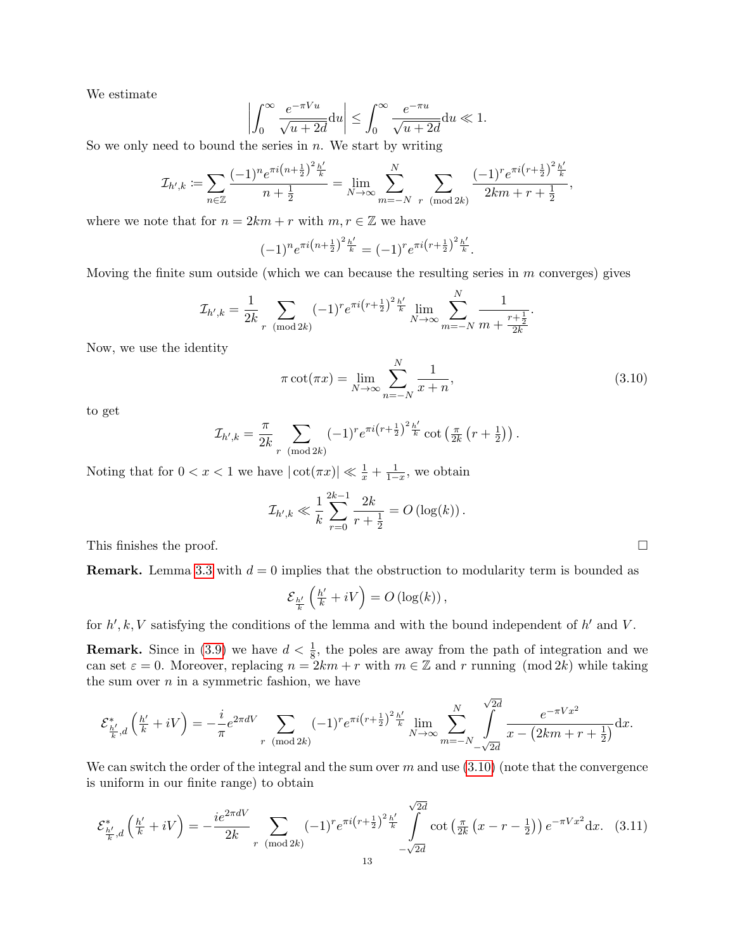We estimate

$$
\left| \int_0^\infty \frac{e^{-\pi Vu}}{\sqrt{u+2d}} \mathrm{d}u \right| \le \int_0^\infty \frac{e^{-\pi u}}{\sqrt{u+2d}} \mathrm{d}u \ll 1.
$$

So we only need to bound the series in  $n$ . We start by writing

$$
\mathcal{I}_{h',k} := \sum_{n \in \mathbb{Z}} \frac{(-1)^n e^{\pi i (n + \frac{1}{2})^2 \frac{h'}{k}}}{n + \frac{1}{2}} = \lim_{N \to \infty} \sum_{m = -N}^N \sum_{r \pmod{2k}} \frac{(-1)^r e^{\pi i (r + \frac{1}{2})^2 \frac{h'}{k}}}{2km + r + \frac{1}{2}},
$$

where we note that for  $n = 2km + r$  with  $m, r \in \mathbb{Z}$  we have

$$
(-1)^n e^{\pi i \left(n + \frac{1}{2}\right)^2 \frac{h'}{k}} = (-1)^r e^{\pi i \left(r + \frac{1}{2}\right)^2 \frac{h'}{k}}.
$$

Moving the finite sum outside (which we can because the resulting series in  $m$  converges) gives

$$
\mathcal{I}_{h',k} = \frac{1}{2k} \sum_{r \pmod{2k}} (-1)^r e^{\pi i (r + \frac{1}{2})^2 \frac{h'}{k}} \lim_{N \to \infty} \sum_{m=-N}^N \frac{1}{m + \frac{r + \frac{1}{2}}{2k}}.
$$

Now, we use the identity

<span id="page-12-0"></span>
$$
\pi \cot(\pi x) = \lim_{N \to \infty} \sum_{n=-N}^{N} \frac{1}{x+n},\tag{3.10}
$$

to get

$$
\mathcal{I}_{h',k} = \frac{\pi}{2k} \sum_{r \pmod{2k}} (-1)^r e^{\pi i (r + \frac{1}{2})^2 \frac{h'}{k}} \cot \left( \frac{\pi}{2k} \left( r + \frac{1}{2} \right) \right).
$$

Noting that for  $0 < x < 1$  we have  $|\cot(\pi x)| \ll \frac{1}{x} + \frac{1}{1-x}$ , we obtain

$$
\mathcal{I}_{h',k} \ll \frac{1}{k} \sum_{r=0}^{2k-1} \frac{2k}{r+\frac{1}{2}} = O\left(\log(k)\right).
$$

This finishes the proof.  $\Box$ 

**Remark.** Lemma [3.3](#page-10-1) with  $d = 0$  implies that the obstruction to modularity term is bounded as

$$
\mathcal{E}_{\frac{h'}{k}}\left(\frac{h'}{k}+iV\right) = O\left(\log(k)\right),\,
$$

for  $h', k, V$  satisfying the conditions of the lemma and with the bound independent of  $h'$  and  $V$ .

**Remark.** Since in [\(3.9\)](#page-10-4) we have  $d < \frac{1}{8}$ , the poles are away from the path of integration and we can set  $\varepsilon = 0$ . Moreover, replacing  $n = 2km + r$  with  $m \in \mathbb{Z}$  and r running (mod  $2k$ ) while taking the sum over  $n$  in a symmetric fashion, we have

$$
\mathcal{E}_{\frac{h'}{k},d}^{*}\left(\frac{h'}{k}+iV\right) = -\frac{i}{\pi}e^{2\pi dV} \sum_{r \pmod{2k}} (-1)^{r} e^{\pi i \left(r+\frac{1}{2}\right)^{2} \frac{h'}{k}} \lim_{N \to \infty} \sum_{m=-N}^{N} \int_{-\sqrt{2d}}^{\sqrt{2d}} \frac{e^{-\pi Vx^{2}}}{x - (2km + r + \frac{1}{2})} dx.
$$

We can switch the order of the integral and the sum over  $m$  and use  $(3.10)$  (note that the convergence is uniform in our finite range) to obtain

<span id="page-12-1"></span>
$$
\mathcal{E}_{\frac{h'}{k},d}^{*}\left(\frac{h'}{k}+iV\right) = -\frac{ie^{2\pi dV}}{2k} \sum_{r \pmod{2k}} (-1)^{r} e^{\pi i \left(r+\frac{1}{2}\right)^{2} \frac{h'}{k}} \int_{-\sqrt{2d}}^{\sqrt{2d}} \cot\left(\frac{\pi}{2k}\left(x-r-\frac{1}{2}\right)\right) e^{-\pi Vx^{2}} dx. \tag{3.11}
$$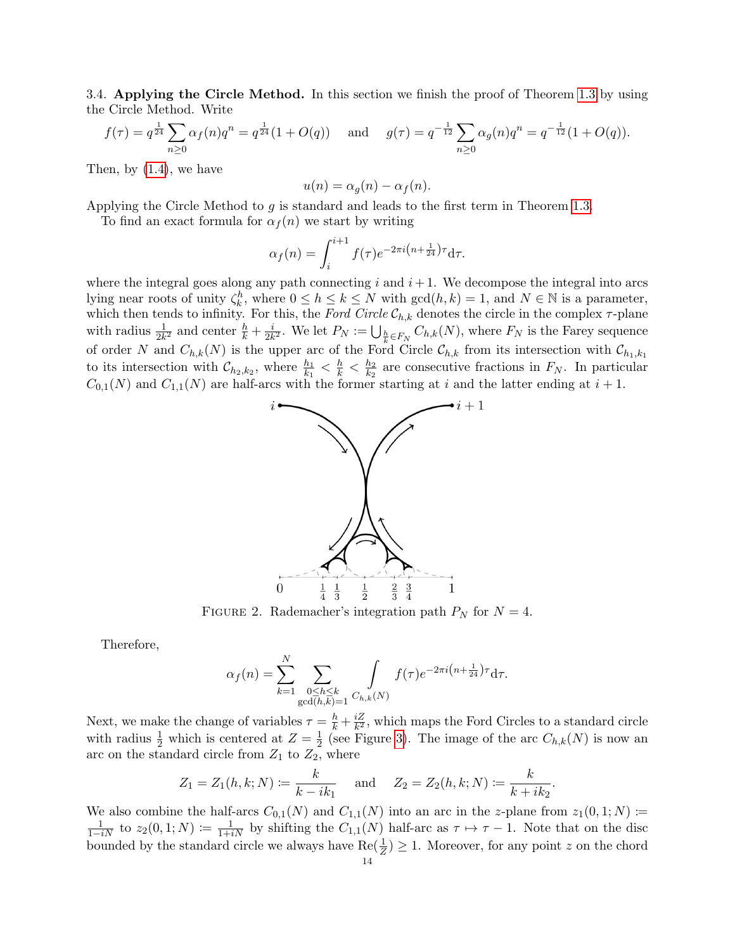<span id="page-13-0"></span>3.4. Applying the Circle Method. In this section we finish the proof of Theorem [1.3](#page-4-2) by using the Circle Method. Write

$$
f(\tau) = q^{\frac{1}{24}} \sum_{n \ge 0} \alpha_f(n) q^n = q^{\frac{1}{24}} (1 + O(q)) \quad \text{and} \quad g(\tau) = q^{-\frac{1}{12}} \sum_{n \ge 0} \alpha_g(n) q^n = q^{-\frac{1}{12}} (1 + O(q)).
$$

Then, by [\(1.4\)](#page-3-1), we have

$$
u(n) = \alpha_g(n) - \alpha_f(n).
$$

Applying the Circle Method to g is standard and leads to the first term in Theorem [1.3.](#page-4-2)

To find an exact formula for  $\alpha_f(n)$  we start by writing

$$
\alpha_f(n) = \int_i^{i+1} f(\tau) e^{-2\pi i \left(n + \frac{1}{24}\right)\tau} d\tau.
$$

where the integral goes along any path connecting  $i$  and  $i+1$ . We decompose the integral into arcs lying near roots of unity  $\zeta_k^h$ , where  $0 \le h \le k \le N$  with  $gcd(h, k) = 1$ , and  $N \in \mathbb{N}$  is a parameter, which then tends to infinity. For this, the Ford Circle  $\mathcal{C}_{h,k}$  denotes the circle in the complex  $\tau$ -plane with radius  $\frac{1}{2k^2}$  and center  $\frac{h}{k} + \frac{i}{2k}$  $\frac{i}{2k^2}$ . We let  $P_N := \bigcup_{\frac{h}{k} \in F_N} C_{h,k}(N)$ , where  $F_N$  is the Farey sequence of order N and  $C_{h,k}(N)$  is the upper arc of the Ford Circle  $\mathcal{C}_{h,k}$  from its intersection with  $\mathcal{C}_{h1,k1}$ to its intersection with  $\mathcal{C}_{h_2,k_2}$ , where  $\frac{h_1}{k_1} < \frac{h}{k} < \frac{h_2}{k_2}$  $\frac{h_2}{k_2}$  are consecutive fractions in  $F_N$ . In particular  $C_{0,1}(N)$  and  $C_{1,1}(N)$  are half-arcs with the former starting at i and the latter ending at  $i+1$ .



FIGURE 2. Rademacher's integration path  $P_N$  for  $N = 4$ .

Therefore,

$$
\alpha_f(n) = \sum_{k=1}^N \sum_{\substack{0 \le h \le k \\ \gcd(h,k)=1}} \int_{C_{h,k}(N)} f(\tau) e^{-2\pi i \left(n + \frac{1}{24}\right)\tau} d\tau.
$$

Next, we make the change of variables  $\tau = \frac{h}{k} + \frac{iZ}{k^2}$  $\frac{iZ}{k^2}$ , which maps the Ford Circles to a standard circle with radius  $\frac{1}{2}$  which is centered at  $Z = \frac{1}{2}$  $\frac{1}{2}$  (see Figure [3\)](#page-14-0). The image of the arc  $C_{h,k}(N)$  is now an arc on the standard circle from  $Z_1$  to  $Z_2$ , where

$$
Z_1 = Z_1(h, k; N) := \frac{k}{k - ik_1}
$$
 and  $Z_2 = Z_2(h, k; N) := \frac{k}{k + ik_2}$ .

We also combine the half-arcs  $C_{0,1}(N)$  and  $C_{1,1}(N)$  into an arc in the z-plane from  $z_1(0,1;N)$  :=  $\frac{1}{1-iN}$  to  $z_2(0,1;N) \coloneqq \frac{1}{1+iN}$  by shifting the  $C_{1,1}(N)$  half-arc as  $\tau \mapsto \tau - 1$ . Note that on the disc bounded by the standard circle we always have  $\text{Re}(\frac{1}{Z}) \geq 1$ . Moreover, for any point z on the chord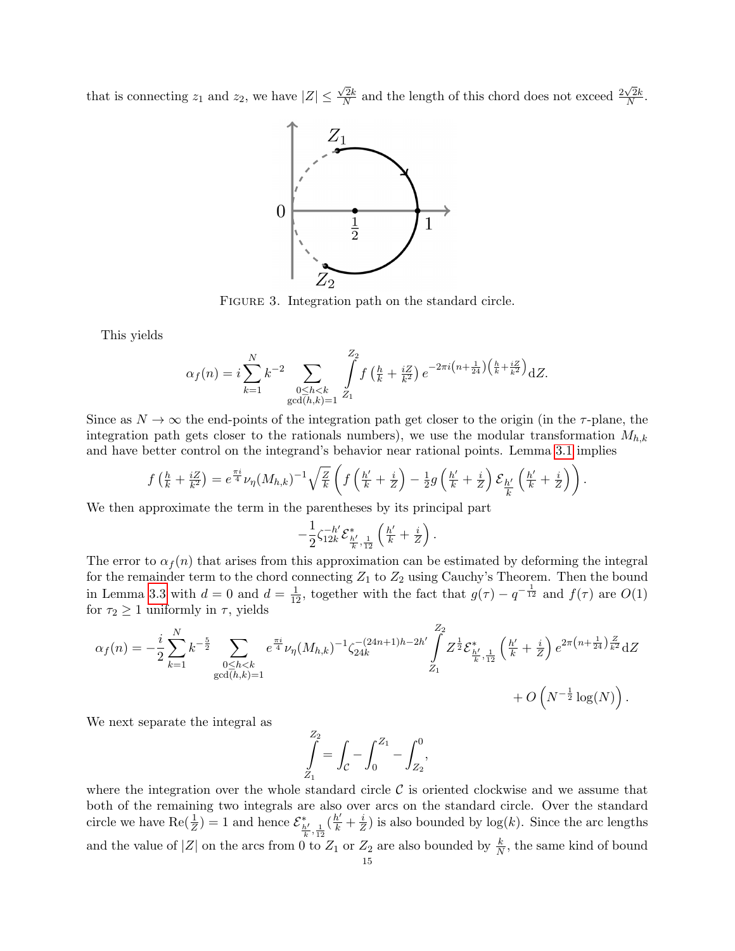<span id="page-14-0"></span>that is connecting  $z_1$  and  $z_2$ , we have  $|Z| \leq$  $\sqrt{2}k$  $\frac{\sqrt{2}k}{N}$  and the length of this chord does not exceed  $\frac{2\sqrt{2}k}{N}$  $\frac{\sqrt{2k}}{N}$ .



FIGURE 3. Integration path on the standard circle.

This yields

$$
\alpha_f(n) = i \sum_{k=1}^N k^{-2} \sum_{\substack{0 \le h < k \\ \gcd(h,k)=1}} \int_{Z_1}^{Z_2} f\left(\frac{h}{k} + \frac{iZ}{k^2}\right) e^{-2\pi i \left(n + \frac{1}{24}\right) \left(\frac{h}{k} + \frac{iZ}{k^2}\right)} dZ.
$$

Since as  $N \to \infty$  the end-points of the integration path get closer to the origin (in the  $\tau$ -plane, the integration path gets closer to the rationals numbers), we use the modular transformation  $M_{h,k}$ and have better control on the integrand's behavior near rational points. Lemma [3.1](#page-7-4) implies

$$
f\left(\frac{h}{k} + \frac{iZ}{k^2}\right) = e^{\frac{\pi i}{4}}\nu_{\eta}(M_{h,k})^{-1}\sqrt{\frac{Z}{k}}\left(f\left(\frac{h'}{k} + \frac{i}{Z}\right) - \frac{1}{2}g\left(\frac{h'}{k} + \frac{i}{Z}\right)\mathcal{E}_{\frac{h'}{k}}\left(\frac{h'}{k} + \frac{i}{Z}\right)\right).
$$

We then approximate the term in the parentheses by its principal part

$$
-\frac{1}{2}\zeta_{12k}^{-h'}\mathcal{E}^*_{\frac{h'}{k},\frac{1}{12}}\left(\frac{h'}{k}+\frac{i}{Z}\right).
$$

The error to  $\alpha_f(n)$  that arises from this approximation can be estimated by deforming the integral for the remainder term to the chord connecting  $Z_1$  to  $Z_2$  using Cauchy's Theorem. Then the bound in Lemma [3.3](#page-10-1) with  $d=0$  and  $d=\frac{1}{12}$ , together with the fact that  $g(\tau) - q^{-\frac{1}{12}}$  and  $f(\tau)$  are  $O(1)$ for  $\tau_2 \geq 1$  uniformly in  $\tau$ , yields

$$
\alpha_f(n) = -\frac{i}{2} \sum_{k=1}^N k^{-\frac{5}{2}} \sum_{\substack{0 \le h < k \\ \gcd(h,k)=1}} e^{\frac{\pi i}{4}} \nu_{\eta}(M_{h,k})^{-1} \zeta_{24k}^{-(24n+1)h-2h'} \int_{Z_1}^{Z_2} Z^{\frac{1}{2}} \mathcal{E}_{\frac{h'}{k},\frac{1}{12}}^* \left(\frac{h'}{k} + \frac{i}{Z}\right) e^{2\pi \left(n + \frac{1}{24}\right) \frac{Z}{k^2}} dZ + O\left(N^{-\frac{1}{2}} \log(N)\right).
$$

We next separate the integral as

$$
\int_{Z_1}^{Z_2} = \int_{\mathcal{C}} - \int_0^{Z_1} - \int_{Z_2}^0,
$$

where the integration over the whole standard circle  $C$  is oriented clockwise and we assume that both of the remaining two integrals are also over arcs on the standard circle. Over the standard circle we have  $\text{Re}(\frac{1}{Z}) = 1$  and hence  $\mathcal{E}_{\frac{h'}{k}, \frac{1}{12}}^*$  $\left(\frac{h'}{k}+\frac{i}{2}\right)$  $\frac{i}{Z}$ ) is also bounded by  $log(k)$ . Since the arc lengths and the value of  $|Z|$  on the arcs from 0 to  $Z_1$  or  $Z_2$  are also bounded by  $\frac{k}{N}$ , the same kind of bound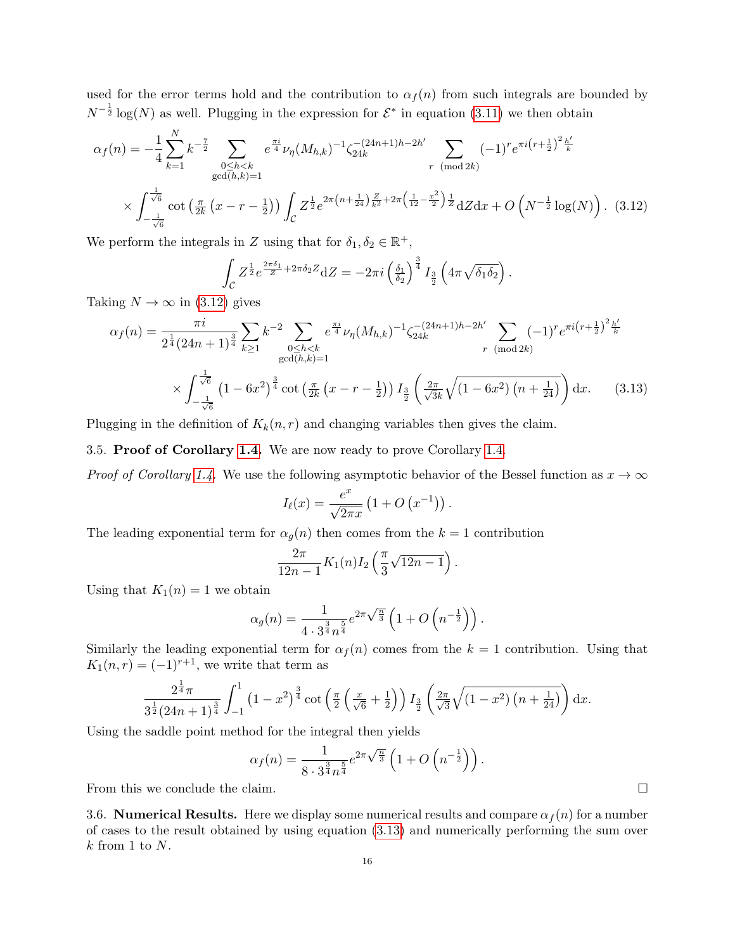used for the error terms hold and the contribution to  $\alpha_f(n)$  from such integrals are bounded by  $N^{-\frac{1}{2}}\log(N)$  as well. Plugging in the expression for  $\mathcal{E}^*$  in equation [\(3.11\)](#page-12-1) we then obtain

$$
\alpha_f(n) = -\frac{1}{4} \sum_{k=1}^N k^{-\frac{7}{2}} \sum_{\substack{0 \le h < k \\ \gcd(h,k)=1}} e^{\frac{\pi i}{4}} \nu_\eta(M_{h,k})^{-1} \zeta_{24k}^{-(24n+1)h-2h'} \sum_{r \pmod{2k}} (-1)^r e^{\pi i (r+\frac{1}{2})^2 \frac{h'}{k}}
$$
  
 
$$
\times \int_{-\frac{1}{\sqrt{6}}}^{\frac{1}{\sqrt{6}}} \cot \left( \frac{\pi}{2k} \left( x - r - \frac{1}{2} \right) \right) \int_C Z^{\frac{1}{2}} e^{2\pi \left( n + \frac{1}{24} \right) \frac{Z}{k^2} + 2\pi \left( \frac{1}{12} - \frac{x^2}{2} \right) \frac{1}{Z}} dZ dx + O\left( N^{-\frac{1}{2}} \log(N) \right). \tag{3.12}
$$

We perform the integrals in Z using that for  $\delta_1, \delta_2 \in \mathbb{R}^+$ ,

<span id="page-15-0"></span>
$$
\int_{\mathcal{C}} Z^{\frac{1}{2}} e^{\frac{2\pi \delta_1}{Z} + 2\pi \delta_2 Z} dZ = -2\pi i \left( \frac{\delta_1}{\delta_2} \right)^{\frac{3}{4}} I_{\frac{3}{2}} \left( 4\pi \sqrt{\delta_1 \delta_2} \right).
$$

Taking  $N \to \infty$  in [\(3.12\)](#page-15-0) gives

$$
\alpha_{f}(n) = \frac{\pi i}{2^{\frac{1}{4}} (24n+1)^{\frac{3}{4}}} \sum_{k \ge 1} k^{-2} \sum_{\substack{0 \le h < k \\ \gcd(h,k)=1}} e^{\frac{\pi i}{4}} \nu_{\eta} (M_{h,k})^{-1} \zeta_{24k}^{-(24n+1)h-2h'} \sum_{r \pmod{2k}} (-1)^{r} e^{\pi i (r+\frac{1}{2})^{2} \frac{h'}{k}}
$$
  
 
$$
\times \int_{-\frac{1}{\sqrt{6}}}^{\frac{1}{\sqrt{6}}} \left(1 - 6x^{2}\right)^{\frac{3}{4}} \cot \left(\frac{\pi}{2k} \left(x - r - \frac{1}{2}\right)\right) I_{\frac{3}{2}} \left(\frac{2\pi}{\sqrt{3}k} \sqrt{(1 - 6x^{2}) \left(n + \frac{1}{24}\right)}\right) dx. \tag{3.13}
$$

Plugging in the definition of  $K_k(n, r)$  and changing variables then gives the claim.

3.5. Proof of Corollary [1.4.](#page-4-1) We are now ready to prove Corollary [1.4.](#page-4-1)

*Proof of Corollary [1.4.](#page-4-1)* We use the following asymptotic behavior of the Bessel function as  $x \to \infty$ 

<span id="page-15-1"></span>
$$
I_{\ell}(x) = \frac{e^x}{\sqrt{2\pi x}} \left(1 + O\left(x^{-1}\right)\right).
$$

The leading exponential term for  $\alpha_g(n)$  then comes from the  $k = 1$  contribution

$$
\frac{2\pi}{12n-1}K_1(n)I_2\left(\frac{\pi}{3}\sqrt{12n-1}\right).
$$

Using that  $K_1(n) = 1$  we obtain

$$
\alpha_g(n) = \frac{1}{4 \cdot 3^{\frac{3}{4}} n^{\frac{5}{4}}} e^{2\pi \sqrt{\frac{n}{3}}} \left( 1 + O\left(n^{-\frac{1}{2}}\right)\right).
$$

Similarly the leading exponential term for  $\alpha_f(n)$  comes from the  $k = 1$  contribution. Using that  $K_1(n,r) = (-1)^{r+1}$ , we write that term as

$$
\frac{2^{\frac{1}{4}}\pi}{3^{\frac{1}{2}}(24n+1)^{\frac{3}{4}}}\int_{-1}^{1}\left(1-x^{2}\right)^{\frac{3}{4}}\cot\left(\frac{\pi}{2}\left(\frac{x}{\sqrt{6}}+\frac{1}{2}\right)\right)I_{\frac{3}{2}}\left(\frac{2\pi}{\sqrt{3}}\sqrt{\left(1-x^{2}\right)\left(n+\frac{1}{24}\right)}\right)dx.
$$

Using the saddle point method for the integral then yields

$$
\alpha_f(n) = \frac{1}{8 \cdot 3^{\frac{3}{4}} n^{\frac{5}{4}}} e^{2\pi \sqrt{\frac{n}{3}}} \left( 1 + O\left( n^{-\frac{1}{2}} \right) \right).
$$

From this we conclude the claim.

3.6. Numerical Results. Here we display some numerical results and compare  $\alpha_f(n)$  for a number of cases to the result obtained by using equation [\(3.13\)](#page-15-1) and numerically performing the sum over  $k$  from 1 to  $N$ .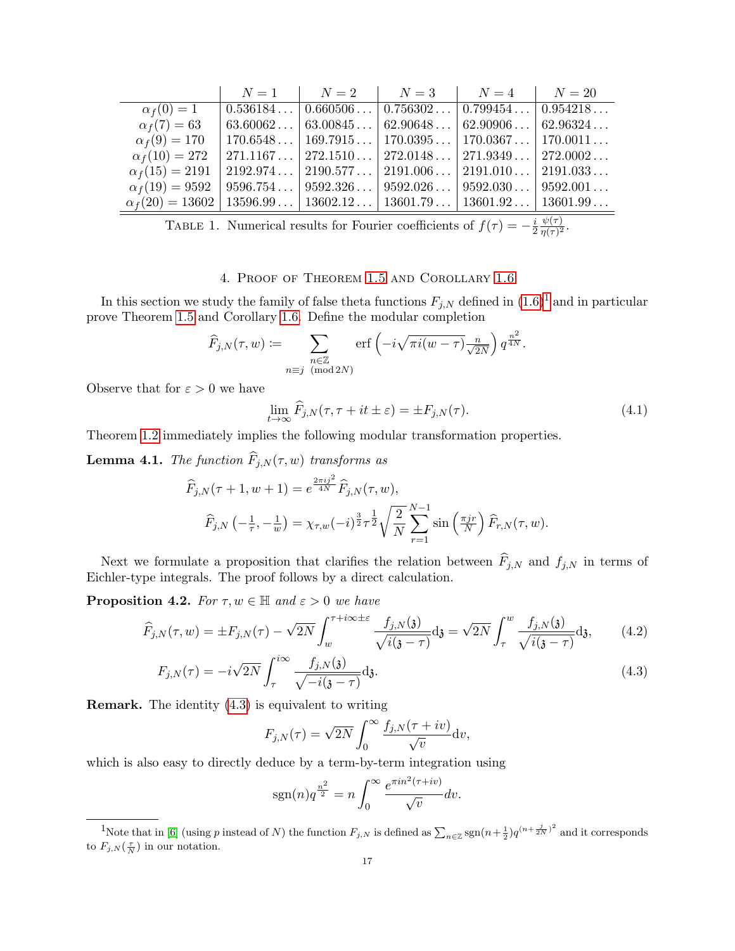|                                                                                              | $N=1$ | $N=2$ | $N=3$                                                                           | $N=4$ | $N=20$ |
|----------------------------------------------------------------------------------------------|-------|-------|---------------------------------------------------------------------------------|-------|--------|
| $\alpha_f(0)=1$                                                                              |       |       | $0.536184   0.660506   0.756302   0.799454   0.954218$                          |       |        |
| $\alpha_f(7) = 63$                                                                           |       |       | $63.60062$   $63.00845$   $62.90648$   $62.90906$   $62.96324$                  |       |        |
| $\alpha_f(9) = 170$                                                                          |       |       | $\mid$ 170.6548 $\mid$ 169.7915 $\mid$ 170.0395 $\mid$ 170.0367 $\mid$ 170.0011 |       |        |
| $\alpha_f(10) = 272$                                                                         |       |       | $271.1167   272.1510   272.0148   271.9349   272.0002$                          |       |        |
| $\alpha_f(15) = 2191$                                                                        |       |       | $2192.974$   $2190.577$   $2191.006$   $2191.010$   $2191.033$                  |       |        |
| $\alpha_f(19) = 9592$                                                                        |       |       | $9596.754   9592.326   9592.026   9592.030   9592.001$                          |       |        |
| $\alpha_f(20) = 13602 \mid 13596.99 \mid 13602.12 \mid 13601.79 \mid 13601.92 \mid 13601.99$ |       |       |                                                                                 |       |        |

TABLE 1. Numerical results for Fourier coefficients of  $f(\tau) = -\frac{i}{2}$ 2  $\psi(\tau)$  $\frac{\psi(\tau)}{\eta(\tau)^2}.$ 

## 4. Proof of Theorem [1.5](#page-4-3) and Corollary [1.6](#page-4-4)

<span id="page-16-0"></span>In this section we study the family of false theta functions  $F_{j,N}$  defined in  $(1.6)^{1}$  $(1.6)^{1}$  $(1.6)^{1}$  $(1.6)^{1}$  and in particular prove Theorem [1.5](#page-4-3) and Corollary [1.6.](#page-4-4) Define the modular completion

$$
\widehat{F}_{j,N}(\tau,w) := \sum_{\substack{n \in \mathbb{Z} \\ n \equiv j \pmod{2N}}} \operatorname{erf} \left( -i\sqrt{\pi i (w-\tau)} \frac{n}{\sqrt{2N}} \right) q^{\frac{n^2}{4N}}.
$$

Observe that for  $\varepsilon > 0$  we have

$$
\lim_{t \to \infty} \widehat{F}_{j,N}(\tau, \tau + it \pm \varepsilon) = \pm F_{j,N}(\tau). \tag{4.1}
$$

Theorem [1.2](#page-2-1) immediately implies the following modular transformation properties.

<span id="page-16-3"></span>**Lemma 4.1.** The function  $\widehat{F}_{j,N}(\tau, w)$  transforms as

$$
\widehat{F}_{j,N}(\tau+1, w+1) = e^{\frac{2\pi i j^2}{4N}} \widehat{F}_{j,N}(\tau, w),
$$

$$
\widehat{F}_{j,N}(-\frac{1}{\tau}, -\frac{1}{w}) = \chi_{\tau, w}(-i)^{\frac{3}{2}} \tau^{\frac{1}{2}} \sqrt{\frac{2}{N}} \sum_{r=1}^{N-1} \sin\left(\frac{\pi j r}{N}\right) \widehat{F}_{r,N}(\tau, w).
$$

Next we formulate a proposition that clarifies the relation between  $\widehat{F}_{j,N}$  and  $f_{j,N}$  in terms of Eichler-type integrals. The proof follows by a direct calculation.

**Proposition 4.2.** For  $\tau, w \in \mathbb{H}$  and  $\varepsilon > 0$  we have

$$
\widehat{F}_{j,N}(\tau,w) = \pm F_{j,N}(\tau) - \sqrt{2N} \int_w^{\tau + i\infty \pm \varepsilon} \frac{f_{j,N}(\mathfrak{z})}{\sqrt{i(\mathfrak{z} - \tau)}} d\mathfrak{z} = \sqrt{2N} \int_\tau^w \frac{f_{j,N}(\mathfrak{z})}{\sqrt{i(\mathfrak{z} - \tau)}} d\mathfrak{z},\qquad(4.2)
$$

$$
F_{j,N}(\tau) = -i\sqrt{2N} \int_{\tau}^{i\infty} \frac{f_{j,N}(\mathfrak{z})}{\sqrt{-i(\mathfrak{z}-\tau)}} d\mathfrak{z}.
$$
\n(4.3)

Remark. The identity [\(4.3\)](#page-16-2) is equivalent to writing

<span id="page-16-4"></span><span id="page-16-2"></span>
$$
F_{j,N}(\tau) = \sqrt{2N} \int_0^\infty \frac{f_{j,N}(\tau + iv)}{\sqrt{v}} \mathrm{d}v,
$$

which is also easy to directly deduce by a term-by-term integration using

$$
sgn(n)q^{\frac{n^2}{2}} = n \int_0^\infty \frac{e^{\pi i n^2(\tau + iv)}}{\sqrt{v}} dv.
$$

<span id="page-16-1"></span><sup>&</sup>lt;sup>1</sup>Note that in [\[6\]](#page-19-4) (using p instead of N) the function  $F_{j,N}$  is defined as  $\sum_{n\in\mathbb{Z}}\text{sgn}(n+\frac{1}{2})q^{(n+\frac{j}{2N})^2}$  and it corresponds to  $F_{j,N}(\frac{\tau}{N})$  in our notation.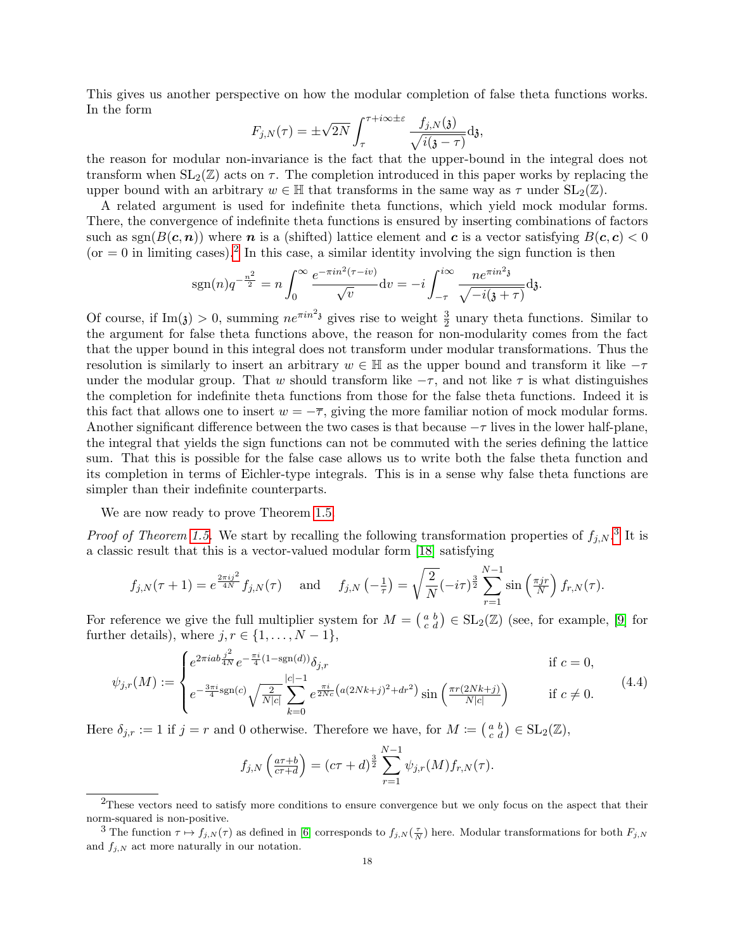This gives us another perspective on how the modular completion of false theta functions works. In the form

$$
F_{j,N}(\tau) = \pm \sqrt{2N} \int_{\tau}^{\tau + i\infty \pm \varepsilon} \frac{f_{j,N}(\mathfrak{z})}{\sqrt{i(\mathfrak{z} - \tau)}} d\mathfrak{z},
$$

the reason for modular non-invariance is the fact that the upper-bound in the integral does not transform when  $SL_2(\mathbb{Z})$  acts on  $\tau$ . The completion introduced in this paper works by replacing the upper bound with an arbitrary  $w \in \mathbb{H}$  that transforms in the same way as  $\tau$  under  $SL_2(\mathbb{Z})$ .

A related argument is used for indefinite theta functions, which yield mock modular forms. There, the convergence of indefinite theta functions is ensured by inserting combinations of factors such as  $sgn(B(c, n))$  where n is a (shifted) lattice element and c is a vector satisfying  $B(c, c) < 0$  $($ or  $= 0$  in limiting cases).<sup>[2](#page-17-1)</sup> In this case, a similar identity involving the sign function is then

$$
sgn(n)q^{-\frac{n^2}{2}} = n \int_0^\infty \frac{e^{-\pi i n^2 (\tau - iv)}}{\sqrt{v}} dv = -i \int_{-\tau}^{i\infty} \frac{n e^{\pi i n^2 \mathfrak{z}}}{\sqrt{-i(\mathfrak{z} + \tau)}} d\mathfrak{z}.
$$

Of course, if  $\text{Im}(3) > 0$ , summing  $ne^{\pi i n^2 3}$  gives rise to weight  $\frac{3}{2}$  unary theta functions. Similar to the argument for false theta functions above, the reason for non-modularity comes from the fact that the upper bound in this integral does not transform under modular transformations. Thus the resolution is similarly to insert an arbitrary  $w \in \mathbb{H}$  as the upper bound and transform it like  $-\tau$ under the modular group. That w should transform like  $-\tau$ , and not like  $\tau$  is what distinguishes the completion for indefinite theta functions from those for the false theta functions. Indeed it is this fact that allows one to insert  $w = -\overline{\tau}$ , giving the more familiar notion of mock modular forms. Another significant difference between the two cases is that because  $-\tau$  lives in the lower half-plane, the integral that yields the sign functions can not be commuted with the series defining the lattice sum. That this is possible for the false case allows us to write both the false theta function and its completion in terms of Eichler-type integrals. This is in a sense why false theta functions are simpler than their indefinite counterparts.

We are now ready to prove Theorem [1.5.](#page-4-3)

*Proof of Theorem [1.5.](#page-4-3)* We start by recalling the following transformation properties of  $f_{j,N}$ .<sup>[3](#page-17-2)</sup> It is a classic result that this is a vector-valued modular form [\[18\]](#page-19-20) satisfying

$$
f_{j,N}(\tau+1) = e^{\frac{2\pi i j^2}{4N}} f_{j,N}(\tau) \quad \text{and} \quad f_{j,N}\left(-\frac{1}{\tau}\right) = \sqrt{\frac{2}{N}} (-i\tau)^{\frac{3}{2}} \sum_{r=1}^{N-1} \sin\left(\frac{\pi j r}{N}\right) f_{r,N}(\tau).
$$

For reference we give the full multiplier system for  $M = \begin{pmatrix} a & b \\ c & d \end{pmatrix} \in SL_2(\mathbb{Z})$  (see, for example, [\[9\]](#page-19-21) for further details), where  $j, r \in \{1, \ldots, N-1\}$ ,

<span id="page-17-0"></span>
$$
\psi_{j,r}(M) := \begin{cases} e^{2\pi i a b \frac{j^2}{4N}} e^{-\frac{\pi i}{4} (1 - \text{sgn}(d))} \delta_{j,r} & \text{if } c = 0, \\ e^{-\frac{3\pi i}{4} \text{sgn}(c)} \sqrt{\frac{2}{N|c|}} \sum_{k=0}^{|c|-1} e^{\frac{\pi i}{2Nc} \left( a(2Nk+j)^2 + dr^2 \right)} \sin \left( \frac{\pi r (2Nk+j)}{N|c|} \right) & \text{if } c \neq 0. \end{cases}
$$
(4.4)

Here  $\delta_{j,r} := 1$  if  $j = r$  and 0 otherwise. Therefore we have, for  $M := \begin{pmatrix} a & b \\ c & d \end{pmatrix} \in SL_2(\mathbb{Z}),$ 

$$
f_{j,N}\left(\frac{a\tau+b}{c\tau+d}\right) = (c\tau+d)^{\frac{3}{2}} \sum_{r=1}^{N-1} \psi_{j,r}(M) f_{r,N}(\tau).
$$

<span id="page-17-1"></span><sup>&</sup>lt;sup>2</sup>These vectors need to satisfy more conditions to ensure convergence but we only focus on the aspect that their norm-squared is non-positive.

<span id="page-17-2"></span><sup>&</sup>lt;sup>3</sup> The function  $\tau \mapsto f_{j,N}(\tau)$  as defined in [\[6\]](#page-19-4) corresponds to  $f_{j,N}(\frac{\tau}{N})$  here. Modular transformations for both  $F_{j,N}$ and  $f_{i,N}$  act more naturally in our notation.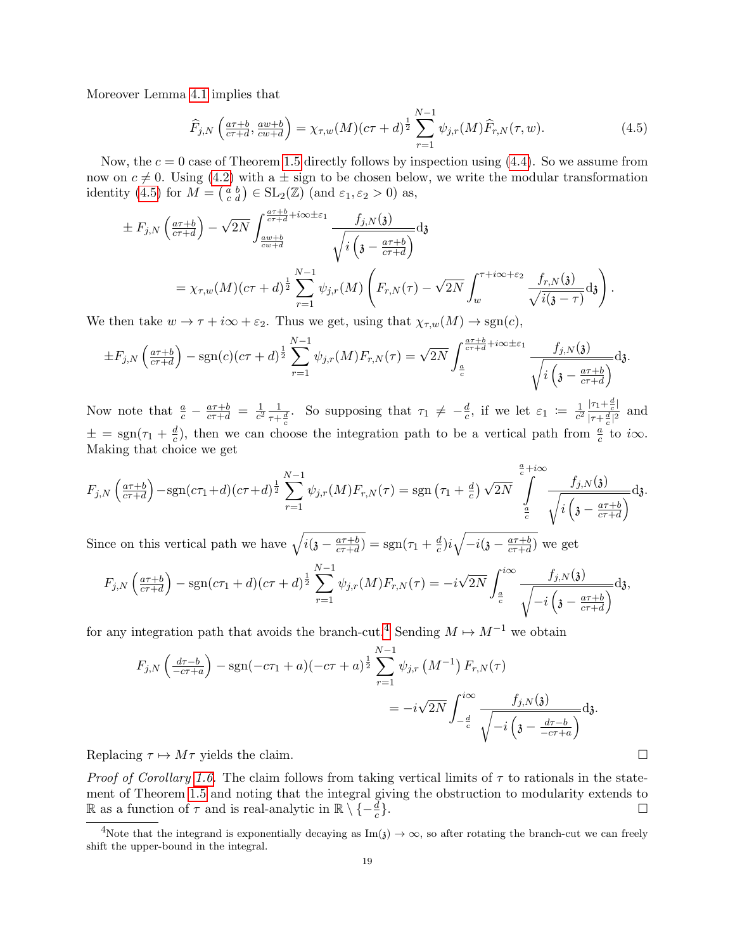Moreover Lemma [4.1](#page-16-3) implies that

<span id="page-18-0"></span>
$$
\widehat{F}_{j,N}\left(\frac{a\tau+b}{c\tau+d},\frac{aw+b}{cw+d}\right) = \chi_{\tau,w}(M)(c\tau+d)^{\frac{1}{2}}\sum_{r=1}^{N-1}\psi_{j,r}(M)\widehat{F}_{r,N}(\tau,w). \tag{4.5}
$$

Now, the  $c = 0$  case of Theorem [1.5](#page-4-3) directly follows by inspection using  $(4.4)$ . So we assume from now on  $c \neq 0$ . Using [\(4.2\)](#page-16-4) with a  $\pm$  sign to be chosen below, we write the modular transformation identity [\(4.5\)](#page-18-0) for  $M = \begin{pmatrix} a & b \\ c & d \end{pmatrix} \in SL_2(\mathbb{Z})$  (and  $\varepsilon_1, \varepsilon_2 > 0$ ) as,

$$
\pm F_{j,N}\left(\frac{a\tau+b}{c\tau+d}\right) - \sqrt{2N} \int_{\frac{aw+b}{cv+d}}^{\frac{a\tau+b}{c\tau+d}+i\infty\pm\varepsilon_1} \frac{f_{j,N}(\mathfrak{z})}{\sqrt{i\left(\mathfrak{z}-\frac{a\tau+b}{c\tau+d}\right)}} d\mathfrak{z}
$$
\n
$$
= \chi_{\tau,w}(M)(c\tau+d)^{\frac{1}{2}} \sum_{r=1}^{N-1} \psi_{j,r}(M) \left(F_{r,N}(\tau) - \sqrt{2N} \int_{w}^{\tau+i\infty+\varepsilon_2} \frac{f_{r,N}(\mathfrak{z})}{\sqrt{i(\mathfrak{z}-\tau)}} d\mathfrak{z}\right).
$$

We then take  $w \to \tau + i\infty + \varepsilon_2$ . Thus we get, using that  $\chi_{\tau,w}(M) \to \text{sgn}(c)$ ,

$$
\pm F_{j,N}\left(\frac{a\tau+b}{c\tau+d}\right) - \operatorname{sgn}(c)(c\tau+d)^{\frac{1}{2}}\sum_{r=1}^{N-1}\psi_{j,r}(M)F_{r,N}(\tau) = \sqrt{2N}\int_{\frac{a}{c}}^{\frac{a\tau+b}{c\tau+d}+i\infty\pm\varepsilon_1}\frac{f_{j,N}(\mathfrak{z})}{\sqrt{i\left(\mathfrak{z}-\frac{a\tau+b}{c\tau+d}\right)}}\mathrm{d}\mathfrak{z}.
$$

Now note that  $\frac{a}{c} - \frac{a\tau+b}{c\tau+d} = \frac{1}{c^2}$  $\frac{1}{c^2} \frac{1}{\tau + \frac{d}{c}}$ . So supposing that  $\tau_1 \neq -\frac{d}{c}$  $\pm = \text{sgn}(\tau_1 + \frac{d}{c})$ , then we can choose the integration path to be a vertical path from  $\frac{d}{c}$  $\frac{d}{c}$ , if we let  $\varepsilon_1 := \frac{1}{c^2}$  $\frac{1}{c^2} \frac{|\tau_1 + \frac{d}{c}|}{|\tau + \frac{d}{c}|^2}$  $\frac{|t_1 + \frac{1}{c}|}{|\tau + \frac{d}{c}|^2}$  and  $\frac{d}{c}$ ), then we can choose the integration path to be a vertical path from  $\frac{a}{c}$  to i $\infty$ . Making that choice we get

$$
F_{j,N}\left(\frac{a\tau+b}{c\tau+d}\right)-\text{sgn}(c\tau_1+d)(c\tau+d)^{\frac{1}{2}}\sum_{r=1}^{N-1}\psi_{j,r}(M)F_{r,N}(\tau)=\text{sgn}\left(\tau_1+\frac{d}{c}\right)\sqrt{2N}\int_{\frac{a}{c}}^{\frac{a}{c}+i\infty}\frac{f_{j,N}(\mathfrak{z})}{\sqrt{i\left(\mathfrak{z}-\frac{a\tau+b}{c\tau+d}\right)}}\text{d}\mathfrak{z}.
$$

Since on this vertical path we have  $\sqrt{i(j - \frac{a\tau+b}{c\tau+d})}$  $\frac{a\tau+b}{c\tau+d}$ ) = sgn( $\tau_1 + \frac{d}{c}$  $\frac{d}{c}$ ) $i\sqrt{-i(\mathfrak{z} - \frac{a\tau+b}{c\tau+d})}$  $\frac{a\tau+b}{c\tau+d}$  we get

$$
F_{j,N}\left(\frac{a\tau+b}{c\tau+d}\right)-\text{sgn}(c\tau_1+d)(c\tau+d)^{\frac{1}{2}}\sum_{r=1}^{N-1}\psi_{j,r}(M)F_{r,N}(\tau)=-i\sqrt{2N}\int_{\frac{a}{c}}^{i\infty}\frac{f_{j,N}(\mathfrak{z})}{\sqrt{-i\left(\mathfrak{z}-\frac{a\tau+b}{c\tau+d}\right)}}\text{d}\mathfrak{z},
$$

for any integration path that avoids the branch-cut.<sup>[4](#page-18-1)</sup> Sending  $M \mapsto M^{-1}$  we obtain

$$
F_{j,N}\left(\frac{d\tau-b}{-c\tau+a}\right) - \text{sgn}(-c\tau_1+a)(-c\tau+a)^{\frac{1}{2}} \sum_{r=1}^{N-1} \psi_{j,r} (M^{-1}) F_{r,N}(\tau)
$$
  
=  $-i\sqrt{2N} \int_{-\frac{d}{c}}^{i\infty} \frac{f_{j,N}(\mathfrak{z})}{\sqrt{-i\left(\mathfrak{z} - \frac{d\tau-b}{-c\tau+a}\right)}} d\mathfrak{z}.$ 

Replacing  $\tau \mapsto M\tau$  yields the claim.

*Proof of Corollary [1.6.](#page-4-4)* The claim follows from taking vertical limits of  $\tau$  to rationals in the statement of Theorem [1.5](#page-4-3) and noting that the integral giving the obstruction to modularity extends to R as a function of  $\tau$  and is real-analytic in  $\mathbb{R} \setminus \{-\frac{d}{c}\}$ }.

<span id="page-18-1"></span><sup>&</sup>lt;sup>4</sup>Note that the integrand is exponentially decaying as Im( $j \rightarrow \infty$ , so after rotating the branch-cut we can freely shift the upper-bound in the integral.